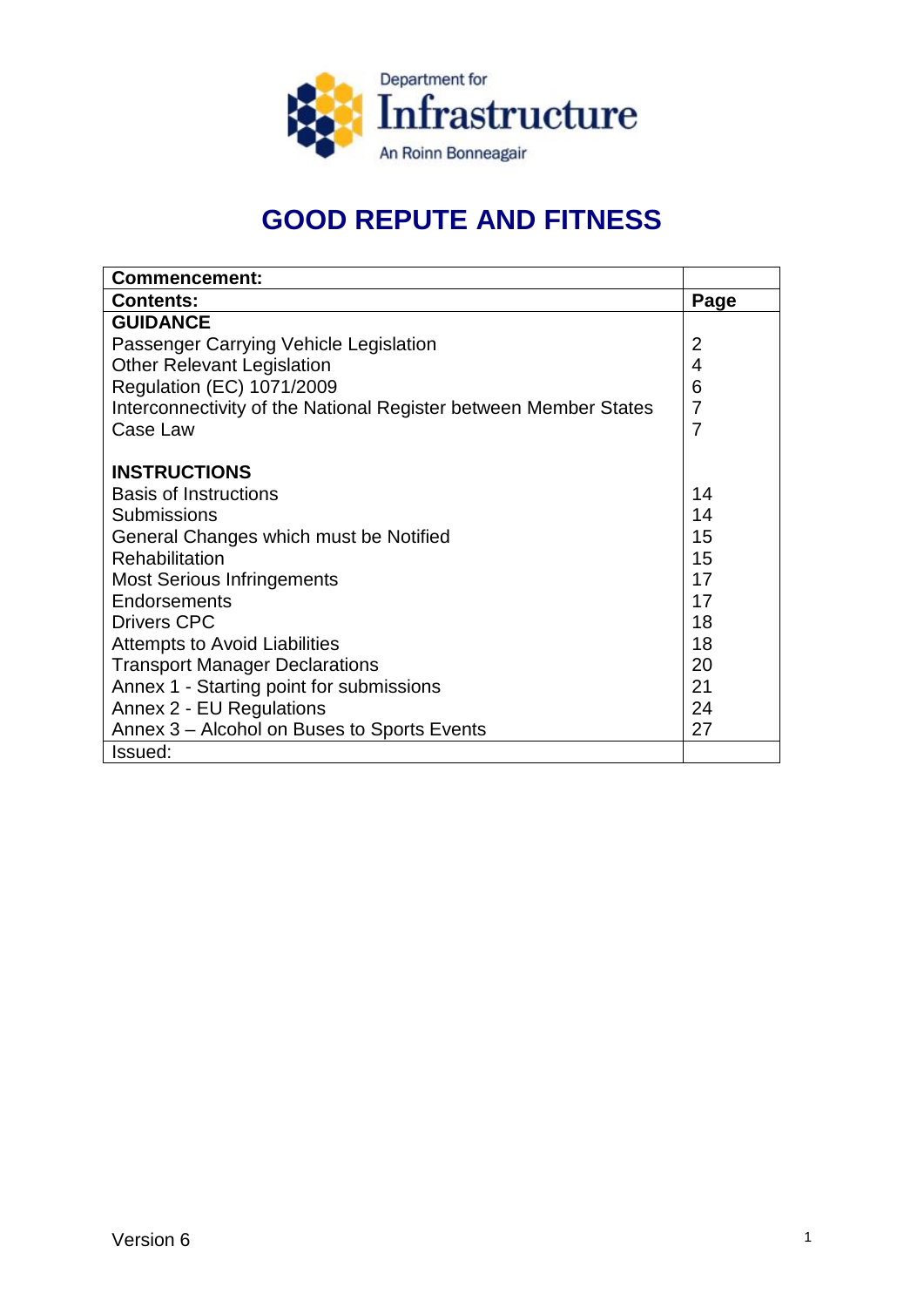

# **GOOD REPUTE AND FITNESS**

| <b>Commencement:</b>                                             |                |
|------------------------------------------------------------------|----------------|
| <b>Contents:</b>                                                 | Page           |
| <b>GUIDANCE</b>                                                  |                |
| Passenger Carrying Vehicle Legislation                           | $\overline{2}$ |
| <b>Other Relevant Legislation</b>                                | 4              |
| Regulation (EC) 1071/2009                                        | 6              |
| Interconnectivity of the National Register between Member States | $\overline{7}$ |
| Case Law                                                         | 7              |
|                                                                  |                |
| <b>INSTRUCTIONS</b>                                              |                |
| <b>Basis of Instructions</b>                                     | 14             |
| <b>Submissions</b>                                               | 14             |
| General Changes which must be Notified                           | 15             |
| Rehabilitation                                                   | 15             |
| <b>Most Serious Infringements</b>                                | 17             |
| Endorsements                                                     | 17             |
| <b>Drivers CPC</b>                                               | 18             |
| <b>Attempts to Avoid Liabilities</b>                             | 18             |
| <b>Transport Manager Declarations</b>                            | 20             |
| Annex 1 - Starting point for submissions                         | 21             |
| Annex 2 - EU Regulations                                         | 24             |
| Annex 3 - Alcohol on Buses to Sports Events                      | 27             |
| Issued:                                                          |                |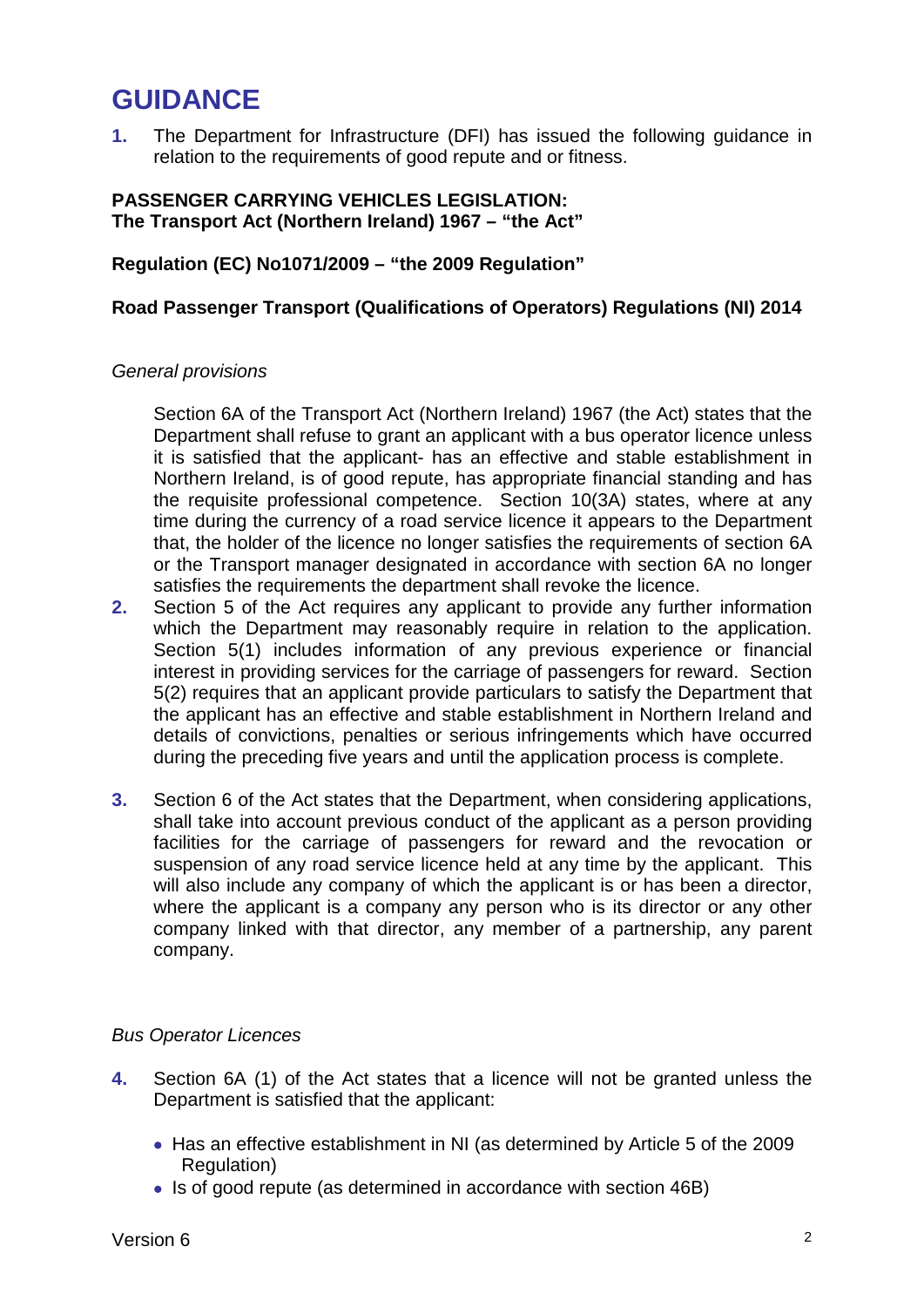# **GUIDANCE**

**1.** The Department for Infrastructure (DFI) has issued the following guidance in relation to the requirements of good repute and or fitness.

#### **PASSENGER CARRYING VEHICLES LEGISLATION: The Transport Act (Northern Ireland) 1967 – "the Act"**

**Regulation (EC) No1071/2009 – "the 2009 Regulation"**

## **Road Passenger Transport (Qualifications of Operators) Regulations (NI) 2014**

#### *General provisions*

Section 6A of the Transport Act (Northern Ireland) 1967 (the Act) states that the Department shall refuse to grant an applicant with a bus operator licence unless it is satisfied that the applicant- has an effective and stable establishment in Northern Ireland, is of good repute, has appropriate financial standing and has the requisite professional competence. Section 10(3A) states, where at any time during the currency of a road service licence it appears to the Department that, the holder of the licence no longer satisfies the requirements of section 6A or the Transport manager designated in accordance with section 6A no longer satisfies the requirements the department shall revoke the licence.

- **2.** Section 5 of the Act requires any applicant to provide any further information which the Department may reasonably require in relation to the application. Section 5(1) includes information of any previous experience or financial interest in providing services for the carriage of passengers for reward. Section 5(2) requires that an applicant provide particulars to satisfy the Department that the applicant has an effective and stable establishment in Northern Ireland and details of convictions, penalties or serious infringements which have occurred during the preceding five years and until the application process is complete.
- **3.** Section 6 of the Act states that the Department, when considering applications, shall take into account previous conduct of the applicant as a person providing facilities for the carriage of passengers for reward and the revocation or suspension of any road service licence held at any time by the applicant. This will also include any company of which the applicant is or has been a director, where the applicant is a company any person who is its director or any other company linked with that director, any member of a partnership, any parent company.

## *Bus Operator Licences*

- **4.** Section 6A (1) of the Act states that a licence will not be granted unless the Department is satisfied that the applicant:
	- Has an effective establishment in NI (as determined by Article 5 of the 2009 Regulation)
	- Is of good repute (as determined in accordance with section 46B)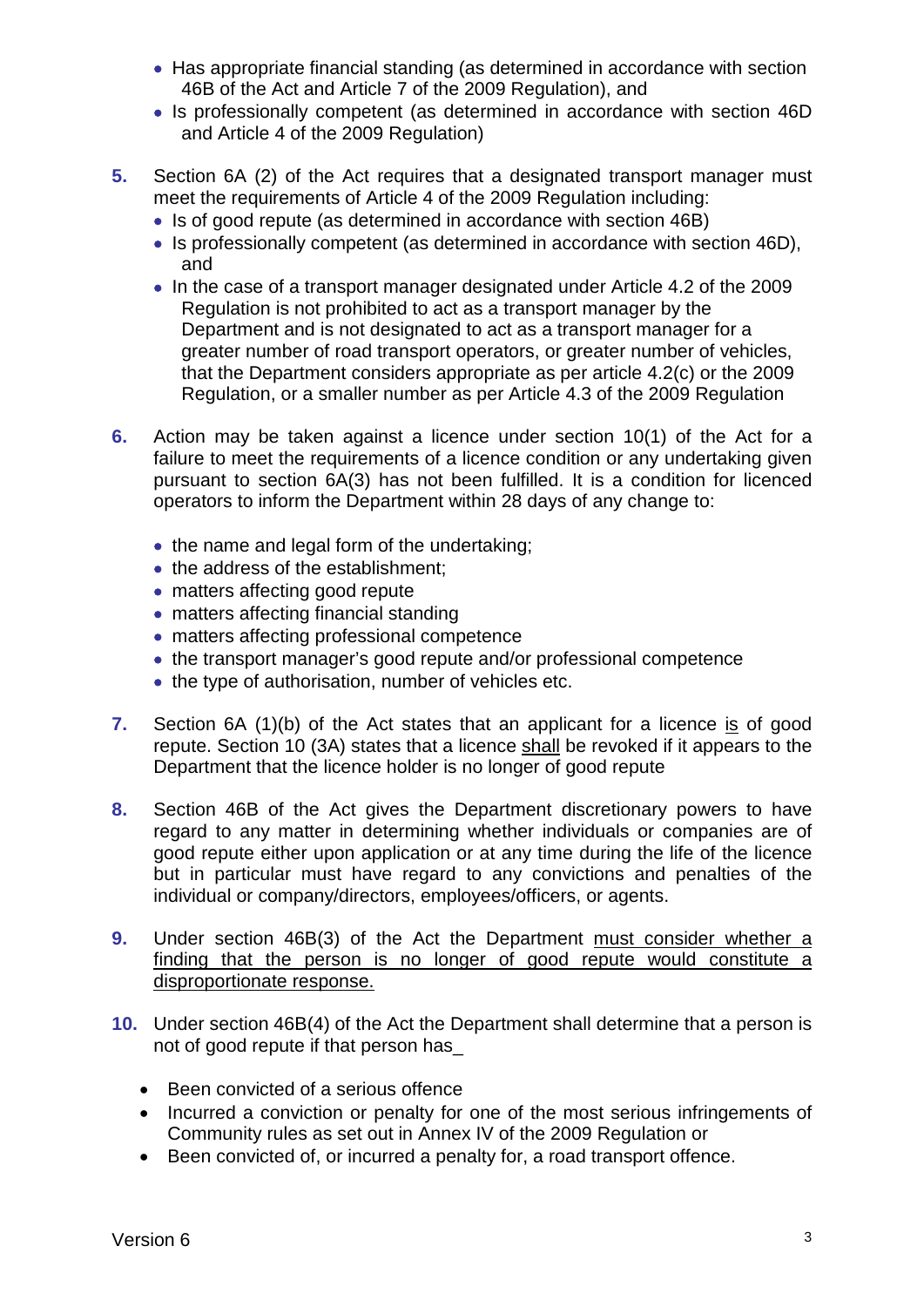- Has appropriate financial standing (as determined in accordance with section 46B of the Act and Article 7 of the 2009 Regulation), and
- Is professionally competent (as determined in accordance with section 46D and Article 4 of the 2009 Regulation)
- **5.** Section 6A (2) of the Act requires that a designated transport manager must meet the requirements of Article 4 of the 2009 Requiation including:
	- Is of good repute (as determined in accordance with section 46B)
	- Is professionally competent (as determined in accordance with section 46D), and
	- In the case of a transport manager designated under Article 4.2 of the 2009 Regulation is not prohibited to act as a transport manager by the Department and is not designated to act as a transport manager for a greater number of road transport operators, or greater number of vehicles, that the Department considers appropriate as per article 4.2(c) or the 2009 Regulation, or a smaller number as per Article 4.3 of the 2009 Regulation
- **6.** Action may be taken against a licence under section 10(1) of the Act for a failure to meet the requirements of a licence condition or any undertaking given pursuant to section 6A(3) has not been fulfilled. It is a condition for licenced operators to inform the Department within 28 days of any change to:
	- the name and legal form of the undertaking;
	- the address of the establishment;
	- matters affecting good repute
	- matters affecting financial standing
	- matters affecting professional competence
	- the transport manager's good repute and/or professional competence
	- the type of authorisation, number of vehicles etc.
- **7.** Section 6A (1)(b) of the Act states that an applicant for a licence is of good repute. Section 10 (3A) states that a licence shall be revoked if it appears to the Department that the licence holder is no longer of good repute
- **8.** Section 46B of the Act gives the Department discretionary powers to have regard to any matter in determining whether individuals or companies are of good repute either upon application or at any time during the life of the licence but in particular must have regard to any convictions and penalties of the individual or company/directors, employees/officers, or agents.
- **9.** Under section 46B(3) of the Act the Department must consider whether a finding that the person is no longer of good repute would constitute a disproportionate response.
- **10.** Under section 46B(4) of the Act the Department shall determine that a person is not of good repute if that person has\_
	- Been convicted of a serious offence
	- Incurred a conviction or penalty for one of the most serious infringements of Community rules as set out in Annex IV of the 2009 Regulation or
	- Been convicted of, or incurred a penalty for, a road transport offence.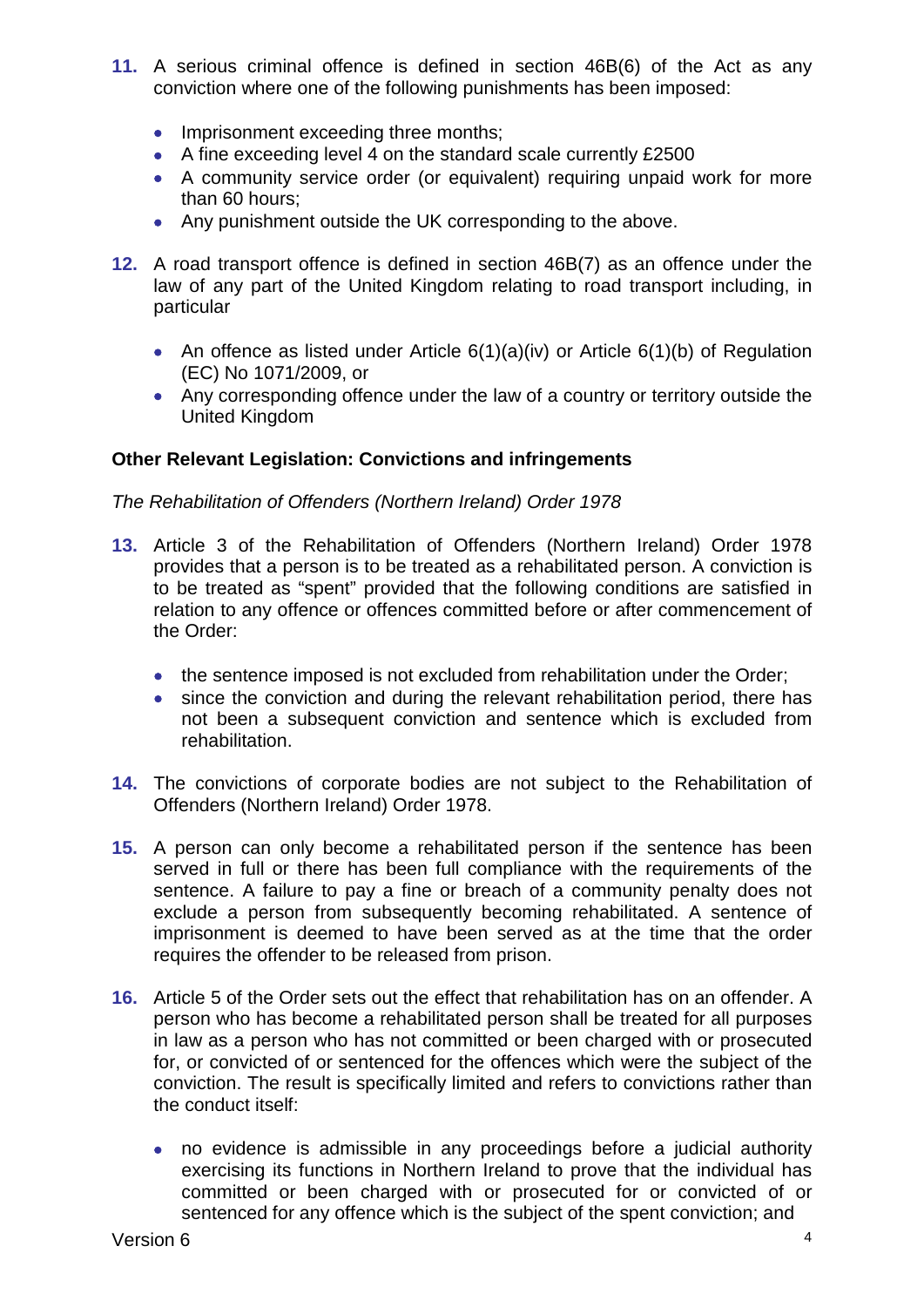- **11.** A serious criminal offence is defined in section 46B(6) of the Act as any conviction where one of the following punishments has been imposed:
	- Imprisonment exceeding three months;
	- A fine exceeding level 4 on the standard scale currently £2500
	- A community service order (or equivalent) requiring unpaid work for more than 60 hours;
	- Any punishment outside the UK corresponding to the above.
- **12.** A road transport offence is defined in section 46B(7) as an offence under the law of any part of the United Kingdom relating to road transport including, in particular
	- An offence as listed under Article 6(1)(a)(iv) or Article 6(1)(b) of Regulation (EC) No 1071/2009, or
	- Any corresponding offence under the law of a country or territory outside the United Kingdom

## **Other Relevant Legislation: Convictions and infringements**

## *The Rehabilitation of Offenders (Northern Ireland) Order 1978*

- **13.** Article 3 of the Rehabilitation of Offenders (Northern Ireland) Order 1978 provides that a person is to be treated as a rehabilitated person. A conviction is to be treated as "spent" provided that the following conditions are satisfied in relation to any offence or offences committed before or after commencement of the Order:
	- the sentence imposed is not excluded from rehabilitation under the Order;
	- since the conviction and during the relevant rehabilitation period, there has not been a subsequent conviction and sentence which is excluded from rehabilitation.
- **14.** The convictions of corporate bodies are not subject to the Rehabilitation of Offenders (Northern Ireland) Order 1978.
- **15.** A person can only become a rehabilitated person if the sentence has been served in full or there has been full compliance with the requirements of the sentence. A failure to pay a fine or breach of a community penalty does not exclude a person from subsequently becoming rehabilitated. A sentence of imprisonment is deemed to have been served as at the time that the order requires the offender to be released from prison.
- **16.** Article 5 of the Order sets out the effect that rehabilitation has on an offender. A person who has become a rehabilitated person shall be treated for all purposes in law as a person who has not committed or been charged with or prosecuted for, or convicted of or sentenced for the offences which were the subject of the conviction. The result is specifically limited and refers to convictions rather than the conduct itself:
	- no evidence is admissible in any proceedings before a judicial authority exercising its functions in Northern Ireland to prove that the individual has committed or been charged with or prosecuted for or convicted of or sentenced for any offence which is the subject of the spent conviction; and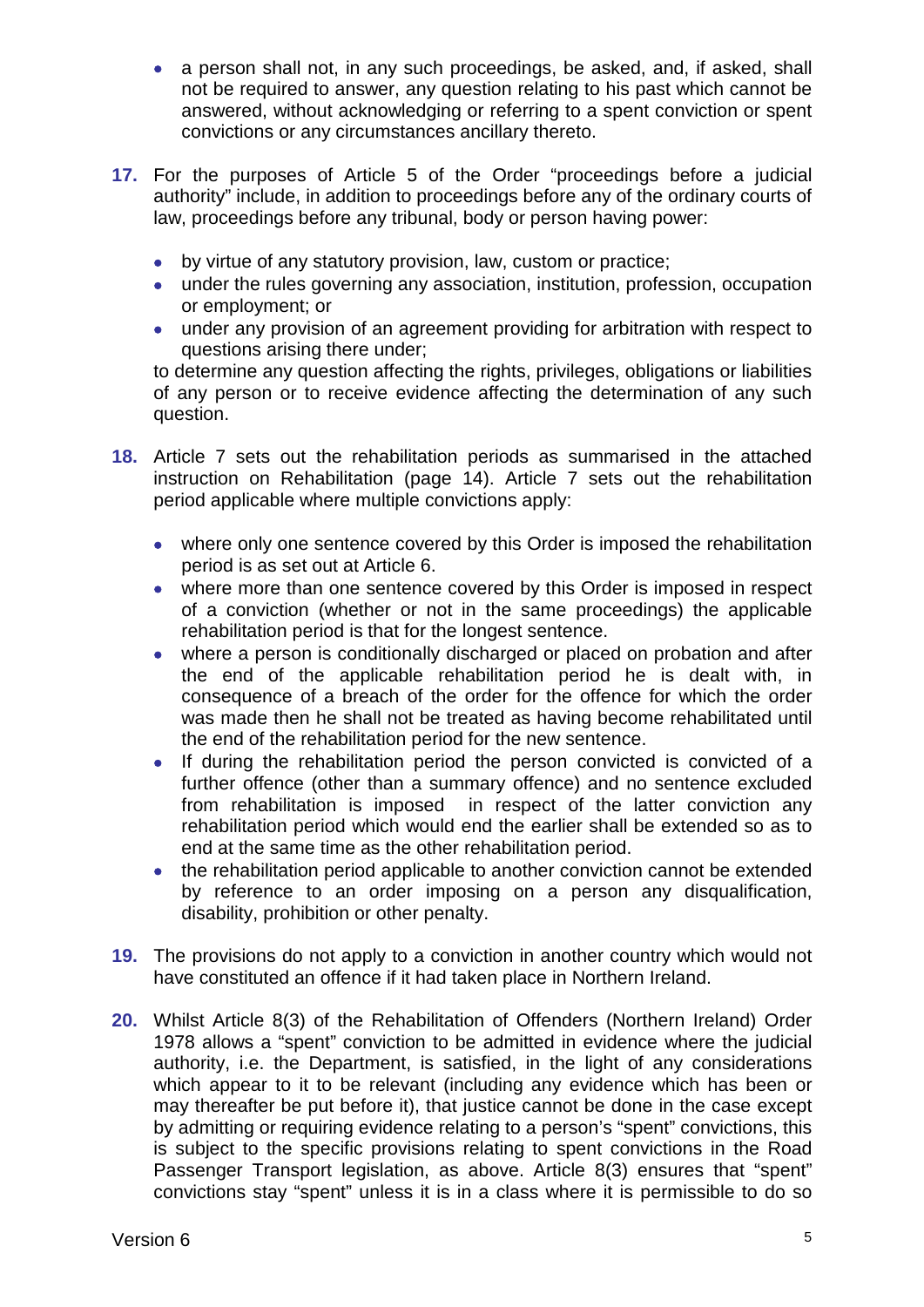- a person shall not, in any such proceedings, be asked, and, if asked, shall not be required to answer, any question relating to his past which cannot be answered, without acknowledging or referring to a spent conviction or spent convictions or any circumstances ancillary thereto.
- **17.** For the purposes of Article 5 of the Order "proceedings before a judicial authority" include, in addition to proceedings before any of the ordinary courts of law, proceedings before any tribunal, body or person having power:
	- by virtue of any statutory provision, law, custom or practice;
	- under the rules governing any association, institution, profession, occupation or employment; or
	- under any provision of an agreement providing for arbitration with respect to questions arising there under;

to determine any question affecting the rights, privileges, obligations or liabilities of any person or to receive evidence affecting the determination of any such question.

- **18.** Article 7 sets out the rehabilitation periods as summarised in the attached instruction on Rehabilitation (page 14). Article 7 sets out the rehabilitation period applicable where multiple convictions apply:
	- where only one sentence covered by this Order is imposed the rehabilitation period is as set out at Article 6.
	- where more than one sentence covered by this Order is imposed in respect of a conviction (whether or not in the same proceedings) the applicable rehabilitation period is that for the longest sentence.
	- where a person is conditionally discharged or placed on probation and after the end of the applicable rehabilitation period he is dealt with, in consequence of a breach of the order for the offence for which the order was made then he shall not be treated as having become rehabilitated until the end of the rehabilitation period for the new sentence.
	- If during the rehabilitation period the person convicted is convicted of a further offence (other than a summary offence) and no sentence excluded from rehabilitation is imposed in respect of the latter conviction any rehabilitation period which would end the earlier shall be extended so as to end at the same time as the other rehabilitation period.
	- the rehabilitation period applicable to another conviction cannot be extended by reference to an order imposing on a person any disqualification, disability, prohibition or other penalty.
- **19.** The provisions do not apply to a conviction in another country which would not have constituted an offence if it had taken place in Northern Ireland.
- **20.** Whilst Article 8(3) of the Rehabilitation of Offenders (Northern Ireland) Order 1978 allows a "spent" conviction to be admitted in evidence where the judicial authority, i.e. the Department, is satisfied, in the light of any considerations which appear to it to be relevant (including any evidence which has been or may thereafter be put before it), that justice cannot be done in the case except by admitting or requiring evidence relating to a person's "spent" convictions, this is subject to the specific provisions relating to spent convictions in the Road Passenger Transport legislation, as above. Article 8(3) ensures that "spent" convictions stay "spent" unless it is in a class where it is permissible to do so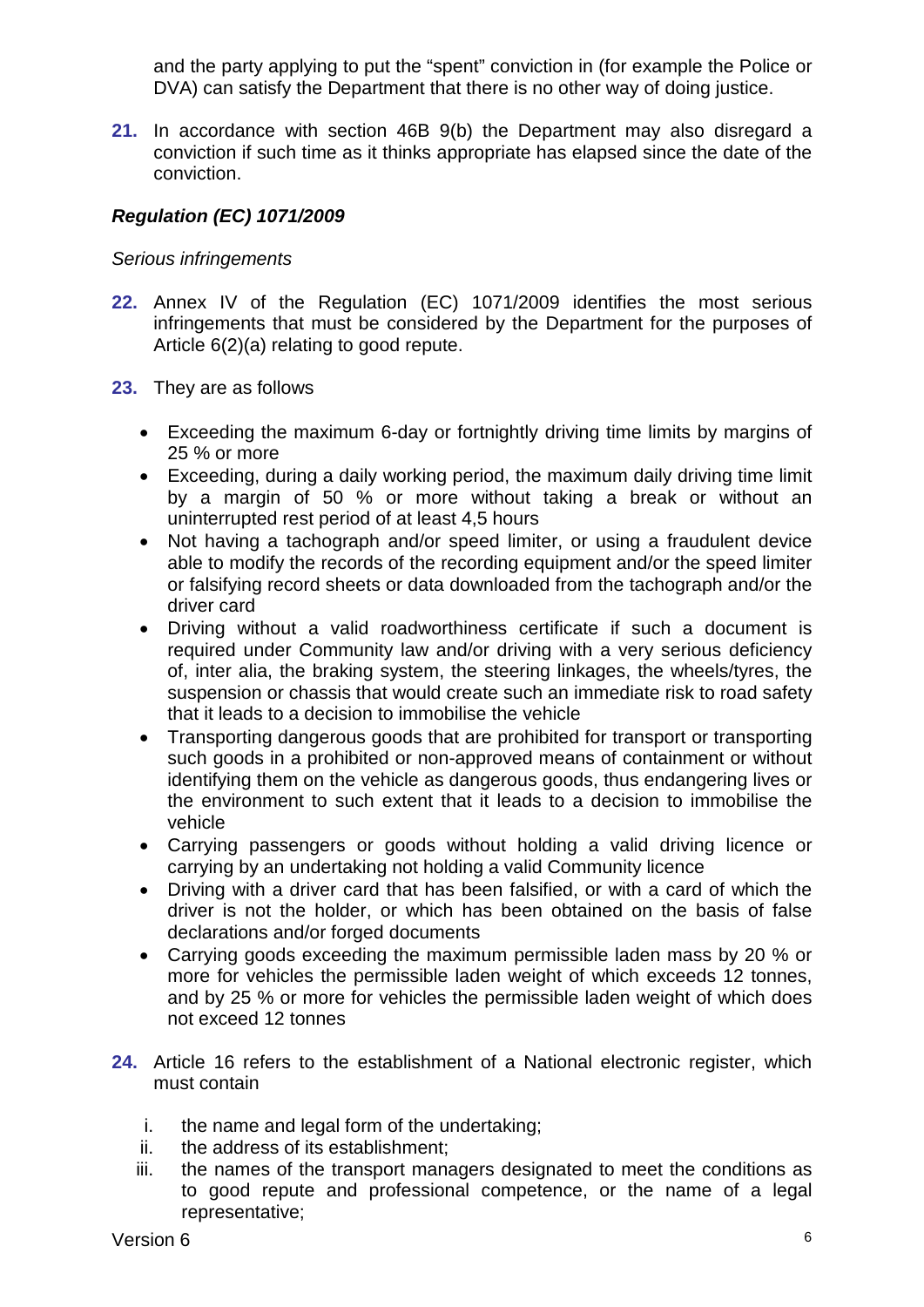and the party applying to put the "spent" conviction in (for example the Police or DVA) can satisfy the Department that there is no other way of doing justice.

**21.** In accordance with section 46B 9(b) the Department may also disregard a conviction if such time as it thinks appropriate has elapsed since the date of the conviction.

## *Regulation (EC) 1071/2009*

#### *Serious infringements*

- **22.** Annex IV of the Regulation (EC) 1071/2009 identifies the most serious infringements that must be considered by the Department for the purposes of Article 6(2)(a) relating to good repute.
- **23.** They are as follows
	- Exceeding the maximum 6-day or fortnightly driving time limits by margins of 25 % or more
	- Exceeding, during a daily working period, the maximum daily driving time limit by a margin of 50 % or more without taking a break or without an uninterrupted rest period of at least 4,5 hours
	- Not having a tachograph and/or speed limiter, or using a fraudulent device able to modify the records of the recording equipment and/or the speed limiter or falsifying record sheets or data downloaded from the tachograph and/or the driver card
	- Driving without a valid roadworthiness certificate if such a document is required under Community law and/or driving with a very serious deficiency of, inter alia, the braking system, the steering linkages, the wheels/tyres, the suspension or chassis that would create such an immediate risk to road safety that it leads to a decision to immobilise the vehicle
	- Transporting dangerous goods that are prohibited for transport or transporting such goods in a prohibited or non-approved means of containment or without identifying them on the vehicle as dangerous goods, thus endangering lives or the environment to such extent that it leads to a decision to immobilise the vehicle
	- Carrying passengers or goods without holding a valid driving licence or carrying by an undertaking not holding a valid Community licence
	- Driving with a driver card that has been falsified, or with a card of which the driver is not the holder, or which has been obtained on the basis of false declarations and/or forged documents
	- Carrying goods exceeding the maximum permissible laden mass by 20 % or more for vehicles the permissible laden weight of which exceeds 12 tonnes, and by 25 % or more for vehicles the permissible laden weight of which does not exceed 12 tonnes
- **24.** Article 16 refers to the establishment of a National electronic register, which must contain
	- i. the name and legal form of the undertaking;
	- ii. the address of its establishment;
	- iii. the names of the transport managers designated to meet the conditions as to good repute and professional competence, or the name of a legal representative;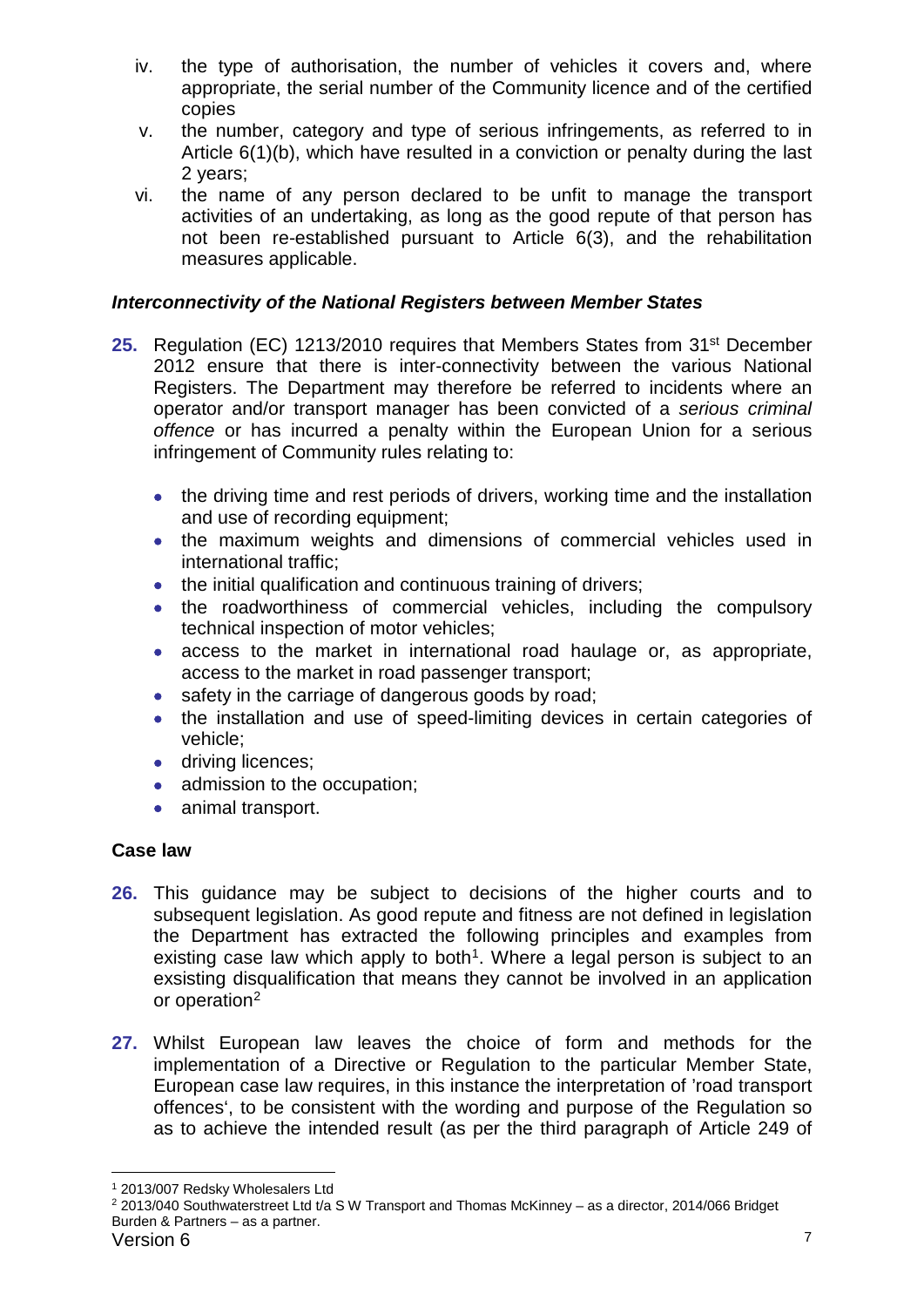- iv. the type of authorisation, the number of vehicles it covers and, where appropriate, the serial number of the Community licence and of the certified copies
- v. the number, category and type of serious infringements, as referred to in Article 6(1)(b), which have resulted in a conviction or penalty during the last 2 years;
- vi. the name of any person declared to be unfit to manage the transport activities of an undertaking, as long as the good repute of that person has not been re-established pursuant to Article 6(3), and the rehabilitation measures applicable.

# *Interconnectivity of the National Registers between Member States*

- **25.** Regulation (EC) 1213/2010 requires that Members States from 31<sup>st</sup> December 2012 ensure that there is inter-connectivity between the various National Registers. The Department may therefore be referred to incidents where an operator and/or transport manager has been convicted of a *serious criminal offence* or has incurred a penalty within the European Union for a serious infringement of Community rules relating to:
	- the driving time and rest periods of drivers, working time and the installation and use of recording equipment;
	- the maximum weights and dimensions of commercial vehicles used in international traffic;
	- the initial qualification and continuous training of drivers;
	- the roadworthiness of commercial vehicles, including the compulsory technical inspection of motor vehicles;
	- access to the market in international road haulage or, as appropriate, access to the market in road passenger transport;
	- safety in the carriage of dangerous goods by road;
	- the installation and use of speed-limiting devices in certain categories of vehicle;
	- driving licences:
	- admission to the occupation;
	- animal transport.

# **Case law**

- **26.** This guidance may be subject to decisions of the higher courts and to subsequent legislation. As good repute and fitness are not defined in legislation the Department has extracted the following principles and examples from existing case law which apply to both<sup>1</sup>. Where a legal person is subject to an exsisting disqualification that means they cannot be involved in an application or operation<sup>[2](#page-6-1)</sup>
- **27.** Whilst European law leaves the choice of form and methods for the implementation of a Directive or Regulation to the particular Member State, European case law requires, in this instance the interpretation of 'road transport offences', to be consistent with the wording and purpose of the Regulation so as to achieve the intended result (as per the third paragraph of Article 249 of

<span id="page-6-0"></span> <sup>1</sup> 2013/007 Redsky Wholesalers Ltd

<span id="page-6-1"></span>Version 6 7 <sup>2</sup> 2013/040 Southwaterstreet Ltd t/a S W Transport and Thomas McKinney – as a director, 2014/066 Bridget Burden & Partners – as a partner.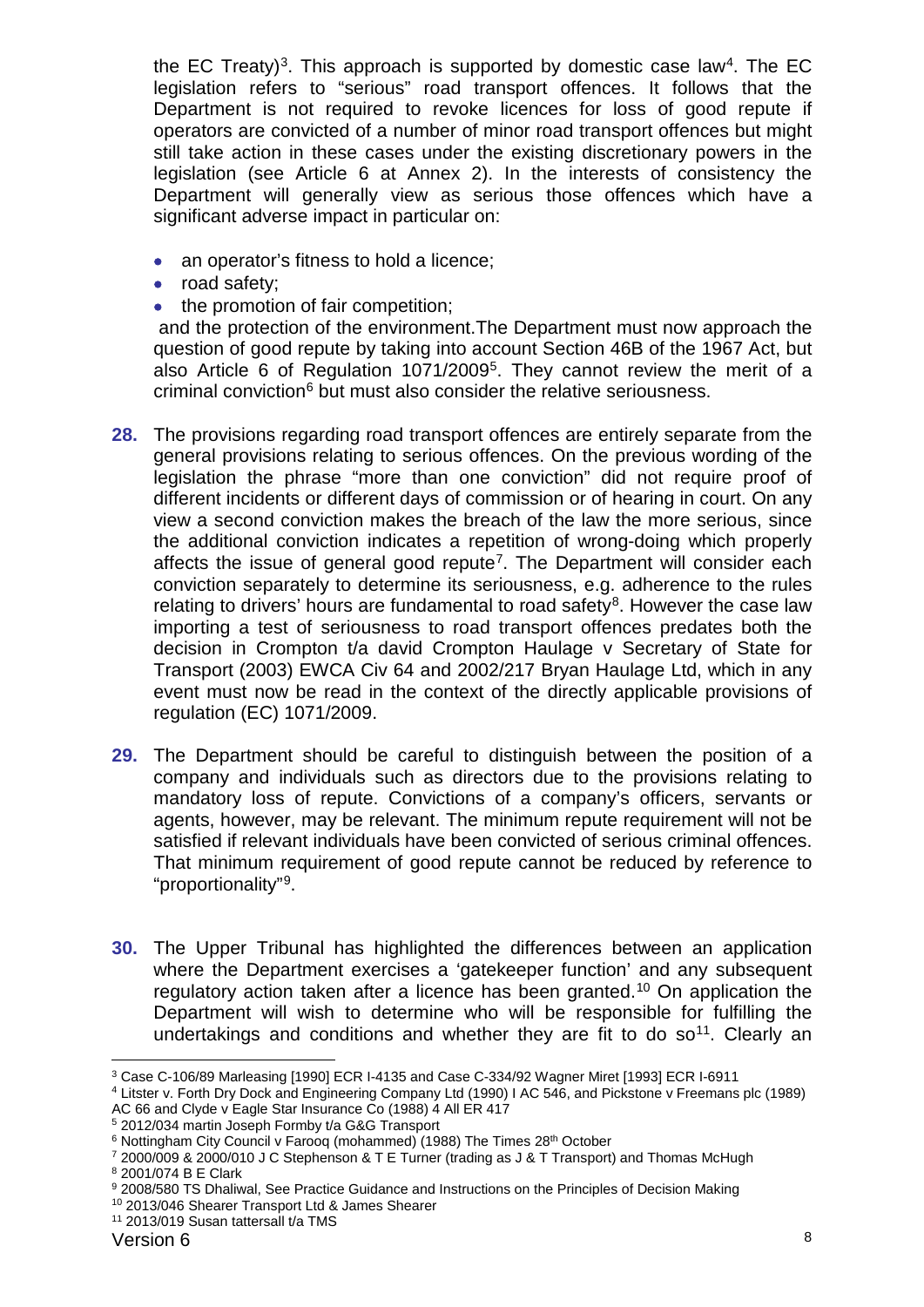the EC Treaty)<sup>[3](#page-7-0)</sup>. This approach is supported by domestic case law<sup>4</sup>. The EC legislation refers to "serious" road transport offences. It follows that the Department is not required to revoke licences for loss of good repute if operators are convicted of a number of minor road transport offences but might still take action in these cases under the existing discretionary powers in the legislation (see Article 6 at Annex 2). In the interests of consistency the Department will generally view as serious those offences which have a significant adverse impact in particular on:

- an operator's fitness to hold a licence;
- road safety;
- the promotion of fair competition:

and the protection of the environment.The Department must now approach the question of good repute by taking into account Section 46B of the 1967 Act, but also Article 6 of Regulation 1071/2009[5](#page-7-2). They cannot review the merit of a criminal conviction<sup>[6](#page-7-3)</sup> but must also consider the relative seriousness.

- **28.** The provisions regarding road transport offences are entirely separate from the general provisions relating to serious offences. On the previous wording of the legislation the phrase "more than one conviction" did not require proof of different incidents or different days of commission or of hearing in court. On any view a second conviction makes the breach of the law the more serious, since the additional conviction indicates a repetition of wrong-doing which properly affects the issue of general good repute<sup>[7](#page-7-4)</sup>. The Department will consider each conviction separately to determine its seriousness, e.g. adherence to the rules relating to drivers' hours are fundamental to road safety<sup>[8](#page-7-5)</sup>. However the case law importing a test of seriousness to road transport offences predates both the decision in Crompton t/a david Crompton Haulage v Secretary of State for Transport (2003) EWCA Civ 64 and 2002/217 Bryan Haulage Ltd, which in any event must now be read in the context of the directly applicable provisions of regulation (EC) 1071/2009.
- **29.** The Department should be careful to distinguish between the position of a company and individuals such as directors due to the provisions relating to mandatory loss of repute. Convictions of a company's officers, servants or agents, however, may be relevant. The minimum repute requirement will not be satisfied if relevant individuals have been convicted of serious criminal offences. That minimum requirement of good repute cannot be reduced by reference to "proportionality"[9](#page-7-6).
- **30.** The Upper Tribunal has highlighted the differences between an application where the Department exercises a 'gatekeeper function' and any subsequent regulatory action taken after a licence has been granted.[10](#page-7-7) On application the Department will wish to determine who will be responsible for fulfilling the undertakings and conditions and whether they are fit to do  $so<sup>11</sup>$ . Clearly an

<span id="page-7-0"></span> <sup>3</sup> Case C-106/89 Marleasing [1990] ECR I-4135 and Case C-334/92 Wagner Miret [1993] ECR I-6911

<span id="page-7-1"></span><sup>4</sup> Litster v. Forth Dry Dock and Engineering Company Ltd (1990) I AC 546, and Pickstone v Freemans plc (1989) AC 66 and Clyde v Eagle Star Insurance Co (1988) 4 All ER 417

<span id="page-7-2"></span><sup>5</sup> 2012/034 martin Joseph Formby t/a G&G Transport

<span id="page-7-3"></span><sup>&</sup>lt;sup>6</sup> Nottingham City Council v Faroog (mohammed) (1988) The Times 28<sup>th</sup> October

<span id="page-7-4"></span><sup>7</sup> 2000/009 & 2000/010 J C Stephenson & T E Turner (trading as J & T Transport) and Thomas McHugh <sup>8</sup> 2001/074 B E Clark

<span id="page-7-6"></span><span id="page-7-5"></span><sup>9</sup> 2008/580 TS Dhaliwal, See Practice Guidance and Instructions on the Principles of Decision Making

<span id="page-7-7"></span><sup>10</sup> 2013/046 Shearer Transport Ltd & James Shearer

<span id="page-7-8"></span><sup>11</sup> 2013/019 Susan tattersall t/a TMS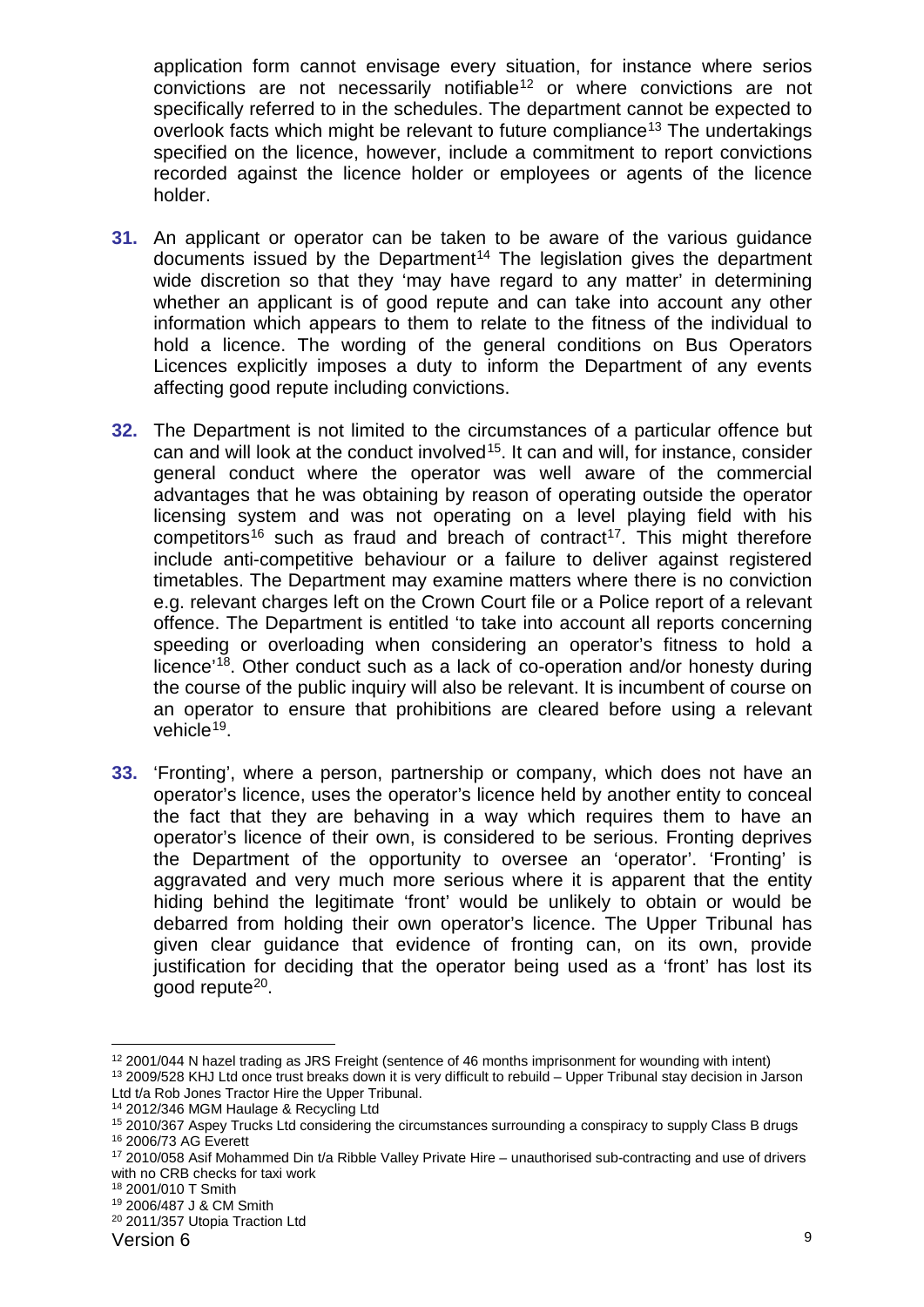application form cannot envisage every situation, for instance where serios convictions are not necessarily notifiable<sup>[12](#page-8-0)</sup> or where convictions are not specifically referred to in the schedules. The department cannot be expected to overlook facts which might be relevant to future compliance<sup>[13](#page-8-1)</sup> The undertakings specified on the licence, however, include a commitment to report convictions recorded against the licence holder or employees or agents of the licence holder.

- **31.** An applicant or operator can be taken to be aware of the various guidance documents issued by the Department<sup>[14](#page-8-2)</sup> The legislation gives the department wide discretion so that they 'may have regard to any matter' in determining whether an applicant is of good repute and can take into account any other information which appears to them to relate to the fitness of the individual to hold a licence. The wording of the general conditions on Bus Operators Licences explicitly imposes a duty to inform the Department of any events affecting good repute including convictions.
- **32.** The Department is not limited to the circumstances of a particular offence but can and will look at the conduct involved<sup>15</sup>. It can and will, for instance, consider general conduct where the operator was well aware of the commercial advantages that he was obtaining by reason of operating outside the operator licensing system and was not operating on a level playing field with his competitors<sup>[16](#page-8-4)</sup> such as fraud and breach of contract<sup>17</sup>. This might therefore include anti-competitive behaviour or a failure to deliver against registered timetables. The Department may examine matters where there is no conviction e.g. relevant charges left on the Crown Court file or a Police report of a relevant offence. The Department is entitled 'to take into account all reports concerning speeding or overloading when considering an operator's fitness to hold a licence'[18](#page-8-6). Other conduct such as a lack of co-operation and/or honesty during the course of the public inquiry will also be relevant. It is incumbent of course on an operator to ensure that prohibitions are cleared before using a relevant vehicle<sup>19</sup>.
- **33.** 'Fronting', where a person, partnership or company, which does not have an operator's licence, uses the operator's licence held by another entity to conceal the fact that they are behaving in a way which requires them to have an operator's licence of their own, is considered to be serious. Fronting deprives the Department of the opportunity to oversee an 'operator'. 'Fronting' is aggravated and very much more serious where it is apparent that the entity hiding behind the legitimate 'front' would be unlikely to obtain or would be debarred from holding their own operator's licence. The Upper Tribunal has given clear guidance that evidence of fronting can, on its own, provide justification for deciding that the operator being used as a 'front' has lost its good repute<sup>[20](#page-8-8)</sup>.

<span id="page-8-0"></span> <sup>12</sup> 2001/044 N hazel trading as JRS Freight (sentence of 46 months imprisonment for wounding with intent)

<span id="page-8-1"></span><sup>13</sup> 2009/528 KHJ Ltd once trust breaks down it is very difficult to rebuild – Upper Tribunal stay decision in Jarson

Ltd t/a Rob Jones Tractor Hire the Upper Tribunal. <sup>14</sup> 2012/346 MGM Haulage & Recycling Ltd

<span id="page-8-3"></span><span id="page-8-2"></span><sup>15</sup> 2010/367 Aspey Trucks Ltd considering the circumstances surrounding a conspiracy to supply Class B drugs <sup>16</sup> 2006/73 AG Everett

<span id="page-8-5"></span><span id="page-8-4"></span><sup>17</sup> 2010/058 Asif Mohammed Din t/a Ribble Valley Private Hire – unauthorised sub-contracting and use of drivers with no CRB checks for taxi work

<sup>18</sup> 2001/010 T Smith

<span id="page-8-7"></span><span id="page-8-6"></span><sup>19</sup> 2006/487 J & CM Smith

<span id="page-8-8"></span><sup>20</sup> 2011/357 Utopia Traction Ltd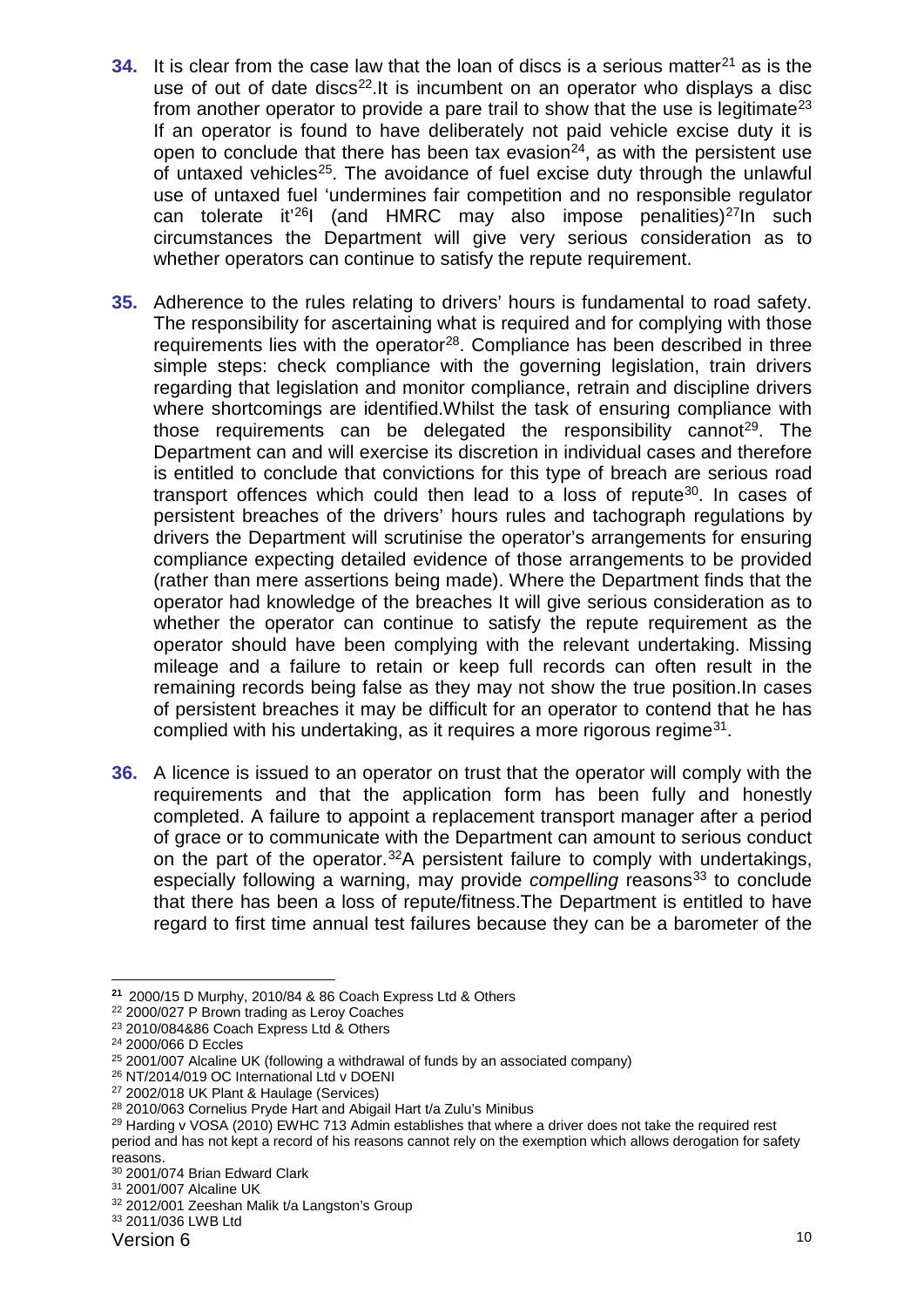- **34.** It is clear from the case law that the loan of discs is a serious matter<sup>[21](#page-9-0)</sup> as is the use of out of date discs<sup>22</sup>. It is incumbent on an operator who displays a disc from another operator to provide a pare trail to show that the use is legitimate<sup>23</sup> If an operator is found to have deliberately not paid vehicle excise duty it is open to conclude that there has been tax evasion<sup>[24](#page-9-3)</sup>, as with the persistent use of untaxed vehicles<sup>[25](#page-9-4)</sup>. The avoidance of fuel excise duty through the unlawful use of untaxed fuel 'undermines fair competition and no responsible regulator can tolerate it<sup>'26</sup>I (and HMRC may also impose penalities)<sup>27</sup>In such circumstances the Department will give very serious consideration as to whether operators can continue to satisfy the repute requirement.
- **35.** Adherence to the rules relating to drivers' hours is fundamental to road safety. The responsibility for ascertaining what is required and for complying with those requirements lies with the operator<sup>[28](#page-9-7)</sup>. Compliance has been described in three simple steps: check compliance with the governing legislation, train drivers regarding that legislation and monitor compliance, retrain and discipline drivers where shortcomings are identified.Whilst the task of ensuring compliance with those requirements can be delegated the responsibility cannot<sup>29</sup>. The Department can and will exercise its discretion in individual cases and therefore is entitled to conclude that convictions for this type of breach are serious road transport offences which could then lead to a loss of repute<sup>[30](#page-9-9)</sup>. In cases of persistent breaches of the drivers' hours rules and tachograph regulations by drivers the Department will scrutinise the operator's arrangements for ensuring compliance expecting detailed evidence of those arrangements to be provided (rather than mere assertions being made). Where the Department finds that the operator had knowledge of the breaches It will give serious consideration as to whether the operator can continue to satisfy the repute requirement as the operator should have been complying with the relevant undertaking. Missing mileage and a failure to retain or keep full records can often result in the remaining records being false as they may not show the true position.In cases of persistent breaches it may be difficult for an operator to contend that he has complied with his undertaking, as it requires a more rigorous regime<sup>31</sup>.
- **36.** A licence is issued to an operator on trust that the operator will comply with the requirements and that the application form has been fully and honestly completed. A failure to appoint a replacement transport manager after a period of grace or to communicate with the Department can amount to serious conduct on the part of the operator.<sup>[32](#page-9-11)</sup>A persistent failure to comply with undertakings, especially following a warning, may provide *compelling* reasons<sup>[33](#page-9-12)</sup> to conclude that there has been a loss of repute/fitness.The Department is entitled to have regard to first time annual test failures because they can be a barometer of the

<sup>-</sup>**<sup>21</sup>** 2000/15 D Murphy, 2010/84 & 86 Coach Express Ltd & Others

<span id="page-9-1"></span><span id="page-9-0"></span><sup>22</sup> 2000/027 P Brown trading as Leroy Coaches

<span id="page-9-2"></span><sup>23</sup> 2010/084&86 Coach Express Ltd & Others

<span id="page-9-3"></span><sup>24</sup> 2000/066 D Eccles

<span id="page-9-4"></span><sup>&</sup>lt;sup>25</sup> 2001/007 Alcaline UK (following a withdrawal of funds by an associated company)  $^{26}$  NT/2014/019 OC International Ltd v DOENI

<span id="page-9-6"></span><span id="page-9-5"></span> $27$  2002/018 UK Plant & Haulage (Services)<br> $28$  2010/063 Cornelius Pryde Hart and Abigail Hart t/a Zulu's Minibus

<span id="page-9-8"></span><span id="page-9-7"></span><sup>&</sup>lt;sup>29</sup> Harding v VOSA (2010) EWHC 713 Admin establishes that where a driver does not take the required rest period and has not kept a record of his reasons cannot rely on the exemption which allows derogation for safety reasons.

<span id="page-9-9"></span><sup>30</sup> 2001/074 Brian Edward Clark

<span id="page-9-10"></span><sup>31</sup> 2001/007 Alcaline UK

<span id="page-9-11"></span><sup>32</sup> 2012/001 Zeeshan Malik t/a Langston's Group

<span id="page-9-12"></span><sup>33</sup> 2011/036 LWB Ltd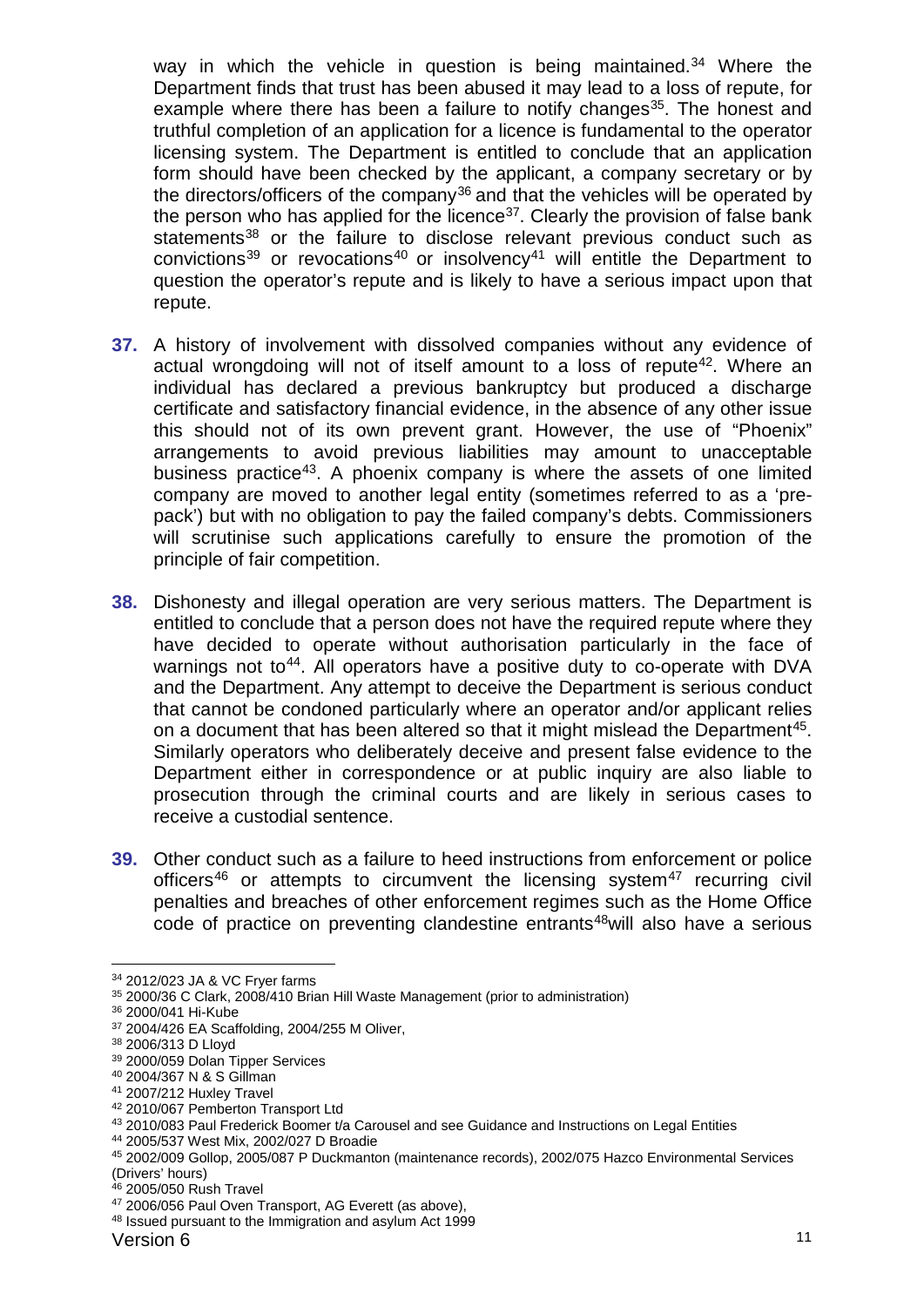way in which the vehicle in question is being maintained.<sup>34</sup> Where the Department finds that trust has been abused it may lead to a loss of repute, for example where there has been a failure to notify changes<sup>[35](#page-10-1)</sup>. The honest and truthful completion of an application for a licence is fundamental to the operator licensing system. The Department is entitled to conclude that an application form should have been checked by the applicant, a company secretary or by the directors/officers of the company<sup>[36](#page-10-2)</sup> and that the vehicles will be operated by the person who has applied for the licence<sup>37</sup>. Clearly the provision of false bank statements<sup>[38](#page-10-4)</sup> or the failure to disclose relevant previous conduct such as convictions<sup>[39](#page-10-5)</sup> or revocations<sup>[40](#page-10-6)</sup> or insolvency<sup>[41](#page-10-7)</sup> will entitle the Department to question the operator's repute and is likely to have a serious impact upon that repute.

- **37.** A history of involvement with dissolved companies without any evidence of actual wrongdoing will not of itself amount to a loss of repute<sup>[42](#page-10-8)</sup>. Where an individual has declared a previous bankruptcy but produced a discharge certificate and satisfactory financial evidence, in the absence of any other issue this should not of its own prevent grant. However, the use of "Phoenix" arrangements to avoid previous liabilities may amount to unacceptable business practice<sup>43</sup>. A phoenix company is where the assets of one limited company are moved to another legal entity (sometimes referred to as a 'prepack') but with no obligation to pay the failed company's debts. Commissioners will scrutinise such applications carefully to ensure the promotion of the principle of fair competition.
- **38.** Dishonesty and illegal operation are very serious matters. The Department is entitled to conclude that a person does not have the required repute where they have decided to operate without authorisation particularly in the face of warnings not to<sup>44</sup>. All operators have a positive duty to co-operate with DVA and the Department. Any attempt to deceive the Department is serious conduct that cannot be condoned particularly where an operator and/or applicant relies on a document that has been altered so that it might mislead the Department<sup>45</sup>. Similarly operators who deliberately deceive and present false evidence to the Department either in correspondence or at public inquiry are also liable to prosecution through the criminal courts and are likely in serious cases to receive a custodial sentence.
- **39.** Other conduct such as a failure to heed instructions from enforcement or police officers<sup>[46](#page-10-12)</sup> or attempts to circumvent the licensing system<sup>[47](#page-10-13)</sup> recurring civil penalties and breaches of other enforcement regimes such as the Home Office code of practice on preventing clandestine entrants<sup>48</sup>will also have a serious

<span id="page-10-0"></span> <sup>34</sup> 2012/023 JA & VC Fryer farms

<span id="page-10-1"></span><sup>35</sup> 2000/36 C Clark, 2008/410 Brian Hill Waste Management (prior to administration)

<span id="page-10-2"></span><sup>36</sup> 2000/041 Hi-Kube

<span id="page-10-3"></span><sup>&</sup>lt;sup>37</sup> 2004/426 EA Scaffolding, 2004/255 M Oliver, <sup>38</sup> 2006/313 D Lloyd

<span id="page-10-5"></span><span id="page-10-4"></span><sup>39</sup> 2000/059 Dolan Tipper Services

<span id="page-10-6"></span><sup>40</sup> 2004/367 N & S Gillman

<span id="page-10-7"></span><sup>41</sup> 2007/212 Huxley Travel

<span id="page-10-8"></span><sup>42</sup> 2010/067 Pemberton Transport Ltd

<span id="page-10-10"></span><span id="page-10-9"></span><sup>43</sup> 2010/083 Paul Frederick Boomer t/a Carousel and see Guidance and Instructions on Legal Entities 44 2005/537 West Mix, 2002/027 D Broadie

<span id="page-10-11"></span><sup>45</sup> 2002/009 Gollop, 2005/087 P Duckmanton (maintenance records), 2002/075 Hazco Environmental Services (Drivers' hours)

<span id="page-10-12"></span><sup>46</sup> 2005/050 Rush Travel

<span id="page-10-13"></span><sup>&</sup>lt;sup>47</sup> 2006/056 Paul Oven Transport, AG Everett (as above), <sup>48</sup> Issued pursuant to the Immigration and asylum Act 1999

<span id="page-10-14"></span>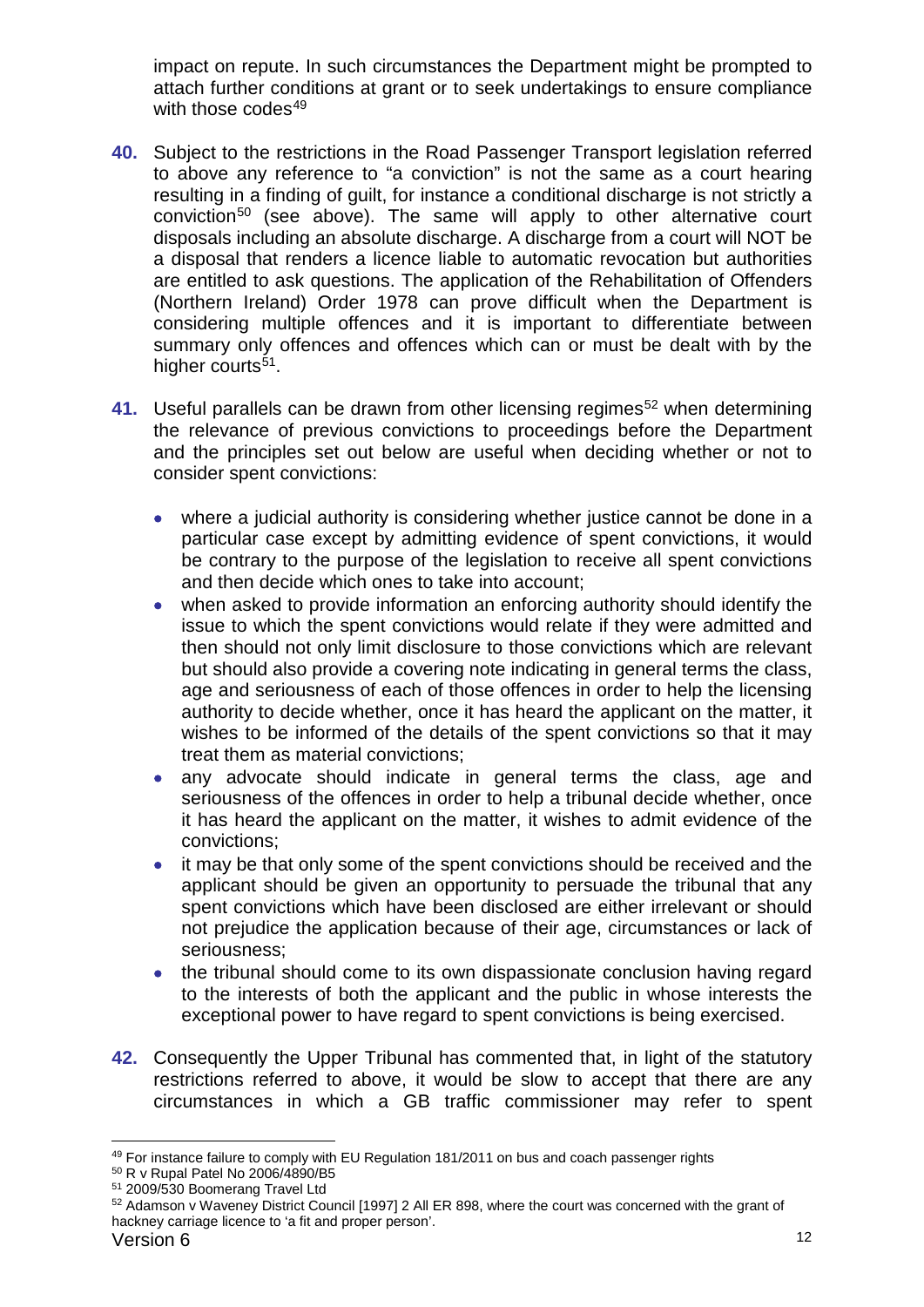impact on repute. In such circumstances the Department might be prompted to attach further conditions at grant or to seek undertakings to ensure compliance with those codes $49$ 

- **40.** Subject to the restrictions in the Road Passenger Transport legislation referred to above any reference to "a conviction" is not the same as a court hearing resulting in a finding of guilt, for instance a conditional discharge is not strictly a conviction<sup>[50](#page-11-1)</sup> (see above). The same will apply to other alternative court disposals including an absolute discharge. A discharge from a court will NOT be a disposal that renders a licence liable to automatic revocation but authorities are entitled to ask questions. The application of the Rehabilitation of Offenders (Northern Ireland) Order 1978 can prove difficult when the Department is considering multiple offences and it is important to differentiate between summary only offences and offences which can or must be dealt with by the higher courts<sup>51</sup>.
- **41.** Useful parallels can be drawn from other licensing regimes<sup>[52](#page-11-3)</sup> when determining the relevance of previous convictions to proceedings before the Department and the principles set out below are useful when deciding whether or not to consider spent convictions:
	- where a judicial authority is considering whether justice cannot be done in a particular case except by admitting evidence of spent convictions, it would be contrary to the purpose of the legislation to receive all spent convictions and then decide which ones to take into account;
	- when asked to provide information an enforcing authority should identify the issue to which the spent convictions would relate if they were admitted and then should not only limit disclosure to those convictions which are relevant but should also provide a covering note indicating in general terms the class, age and seriousness of each of those offences in order to help the licensing authority to decide whether, once it has heard the applicant on the matter, it wishes to be informed of the details of the spent convictions so that it may treat them as material convictions;
	- any advocate should indicate in general terms the class, age and seriousness of the offences in order to help a tribunal decide whether, once it has heard the applicant on the matter, it wishes to admit evidence of the convictions;
	- it may be that only some of the spent convictions should be received and the applicant should be given an opportunity to persuade the tribunal that any spent convictions which have been disclosed are either irrelevant or should not prejudice the application because of their age, circumstances or lack of seriousness;
	- the tribunal should come to its own dispassionate conclusion having regard to the interests of both the applicant and the public in whose interests the exceptional power to have regard to spent convictions is being exercised.
- **42.** Consequently the Upper Tribunal has commented that, in light of the statutory restrictions referred to above, it would be slow to accept that there are any circumstances in which a GB traffic commissioner may refer to spent

<span id="page-11-0"></span><sup>49</sup> For instance failure to comply with EU Regulation 181/2011 on bus and coach passenger rights

<span id="page-11-1"></span><sup>50</sup> R v Rupal Patel No 2006/4890/B5

<span id="page-11-2"></span><sup>51</sup> 2009/530 Boomerang Travel Ltd

<span id="page-11-3"></span><sup>52</sup> Adamson v Waveney District Council [1997] 2 All ER 898, where the court was concerned with the grant of hackney carriage licence to 'a fit and proper person'.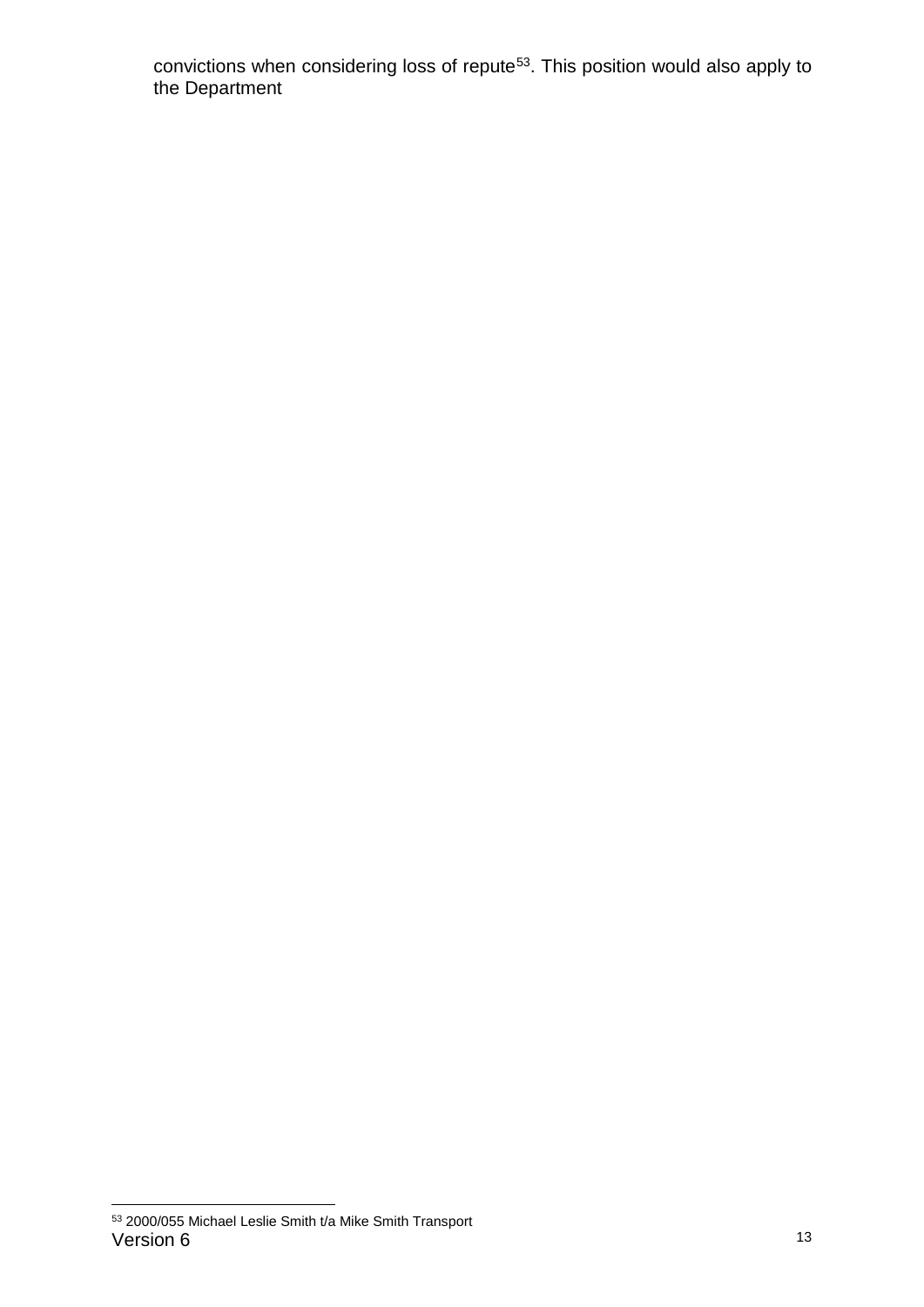convictions when considering loss of repute<sup>53</sup>. This position would also apply to the Department

<span id="page-12-0"></span>Version 6 13 53 2000/055 Michael Leslie Smith t/a Mike Smith Transport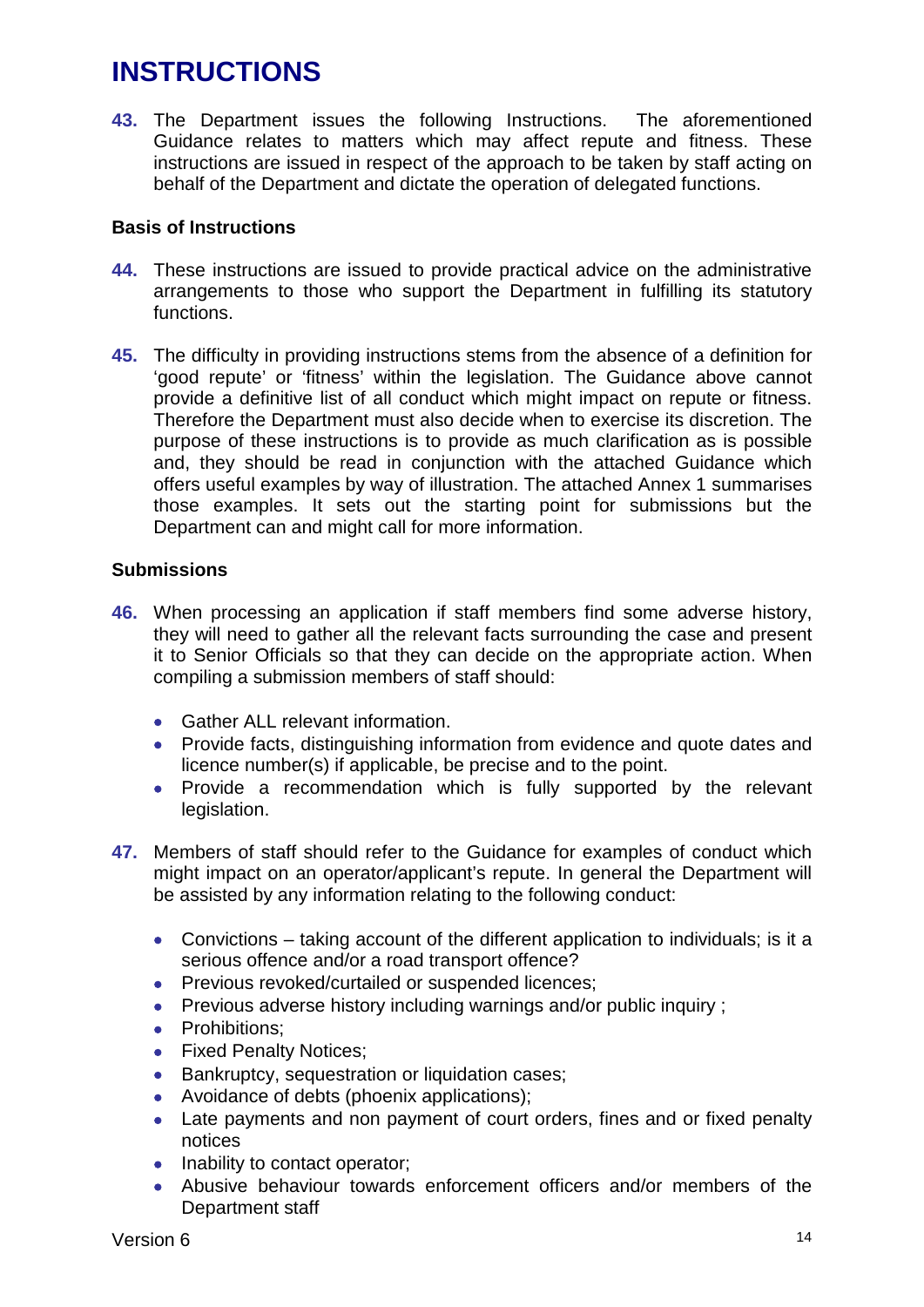# **INSTRUCTIONS**

**43.** The Department issues the following Instructions. The aforementioned Guidance relates to matters which may affect repute and fitness. These instructions are issued in respect of the approach to be taken by staff acting on behalf of the Department and dictate the operation of delegated functions.

## **Basis of Instructions**

- **44.** These instructions are issued to provide practical advice on the administrative arrangements to those who support the Department in fulfilling its statutory functions.
- **45.** The difficulty in providing instructions stems from the absence of a definition for 'good repute' or 'fitness' within the legislation. The Guidance above cannot provide a definitive list of all conduct which might impact on repute or fitness. Therefore the Department must also decide when to exercise its discretion. The purpose of these instructions is to provide as much clarification as is possible and, they should be read in conjunction with the attached Guidance which offers useful examples by way of illustration. The attached Annex 1 summarises those examples. It sets out the starting point for submissions but the Department can and might call for more information.

## **Submissions**

- **46.** When processing an application if staff members find some adverse history, they will need to gather all the relevant facts surrounding the case and present it to Senior Officials so that they can decide on the appropriate action. When compiling a submission members of staff should:
	- Gather ALL relevant information.
	- Provide facts, distinguishing information from evidence and quote dates and licence number(s) if applicable, be precise and to the point.
	- Provide a recommendation which is fully supported by the relevant legislation.
- **47.** Members of staff should refer to the Guidance for examples of conduct which might impact on an operator/applicant's repute. In general the Department will be assisted by any information relating to the following conduct:
	- Convictions taking account of the different application to individuals; is it a serious offence and/or a road transport offence?
	- Previous revoked/curtailed or suspended licences;
	- Previous adverse history including warnings and/or public inquiry ;
	- Prohibitions:
	- Fixed Penalty Notices;
	- Bankruptcy, sequestration or liquidation cases;
	- Avoidance of debts (phoenix applications);
	- Late payments and non payment of court orders, fines and or fixed penalty notices
	- Inability to contact operator;
	- Abusive behaviour towards enforcement officers and/or members of the Department staff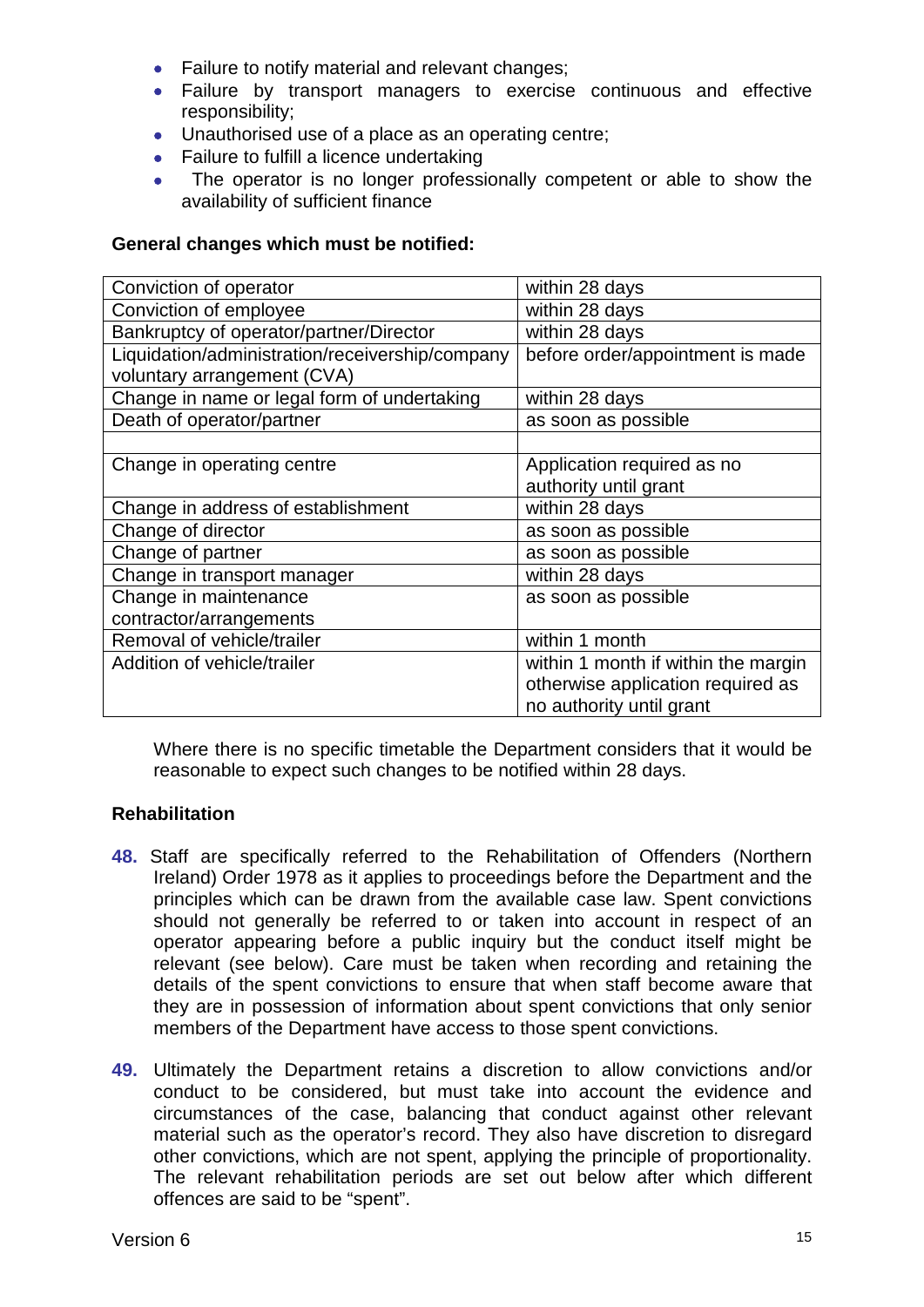- Failure to notify material and relevant changes;
- Failure by transport managers to exercise continuous and effective responsibility;
- Unauthorised use of a place as an operating centre;
- Failure to fulfill a licence undertaking
- The operator is no longer professionally competent or able to show the availability of sufficient finance

## **General changes which must be notified:**

| Conviction of operator                          | within 28 days                      |
|-------------------------------------------------|-------------------------------------|
| Conviction of employee                          | within 28 days                      |
| Bankruptcy of operator/partner/Director         | within 28 days                      |
| Liquidation/administration/receivership/company | before order/appointment is made    |
| voluntary arrangement (CVA)                     |                                     |
| Change in name or legal form of undertaking     | within 28 days                      |
| Death of operator/partner                       | as soon as possible                 |
|                                                 |                                     |
| Change in operating centre                      | Application required as no          |
|                                                 | authority until grant               |
| Change in address of establishment              | within 28 days                      |
| Change of director                              | as soon as possible                 |
| Change of partner                               | as soon as possible                 |
| Change in transport manager                     | within 28 days                      |
| Change in maintenance                           | as soon as possible                 |
| contractor/arrangements                         |                                     |
| Removal of vehicle/trailer                      | within 1 month                      |
| Addition of vehicle/trailer                     | within 1 month if within the margin |
|                                                 | otherwise application required as   |
|                                                 | no authority until grant            |

Where there is no specific timetable the Department considers that it would be reasonable to expect such changes to be notified within 28 days.

## **Rehabilitation**

- **48.** Staff are specifically referred to the Rehabilitation of Offenders (Northern Ireland) Order 1978 as it applies to proceedings before the Department and the principles which can be drawn from the available case law. Spent convictions should not generally be referred to or taken into account in respect of an operator appearing before a public inquiry but the conduct itself might be relevant (see below). Care must be taken when recording and retaining the details of the spent convictions to ensure that when staff become aware that they are in possession of information about spent convictions that only senior members of the Department have access to those spent convictions.
- **49.** Ultimately the Department retains a discretion to allow convictions and/or conduct to be considered, but must take into account the evidence and circumstances of the case, balancing that conduct against other relevant material such as the operator's record. They also have discretion to disregard other convictions, which are not spent, applying the principle of proportionality. The relevant rehabilitation periods are set out below after which different offences are said to be "spent".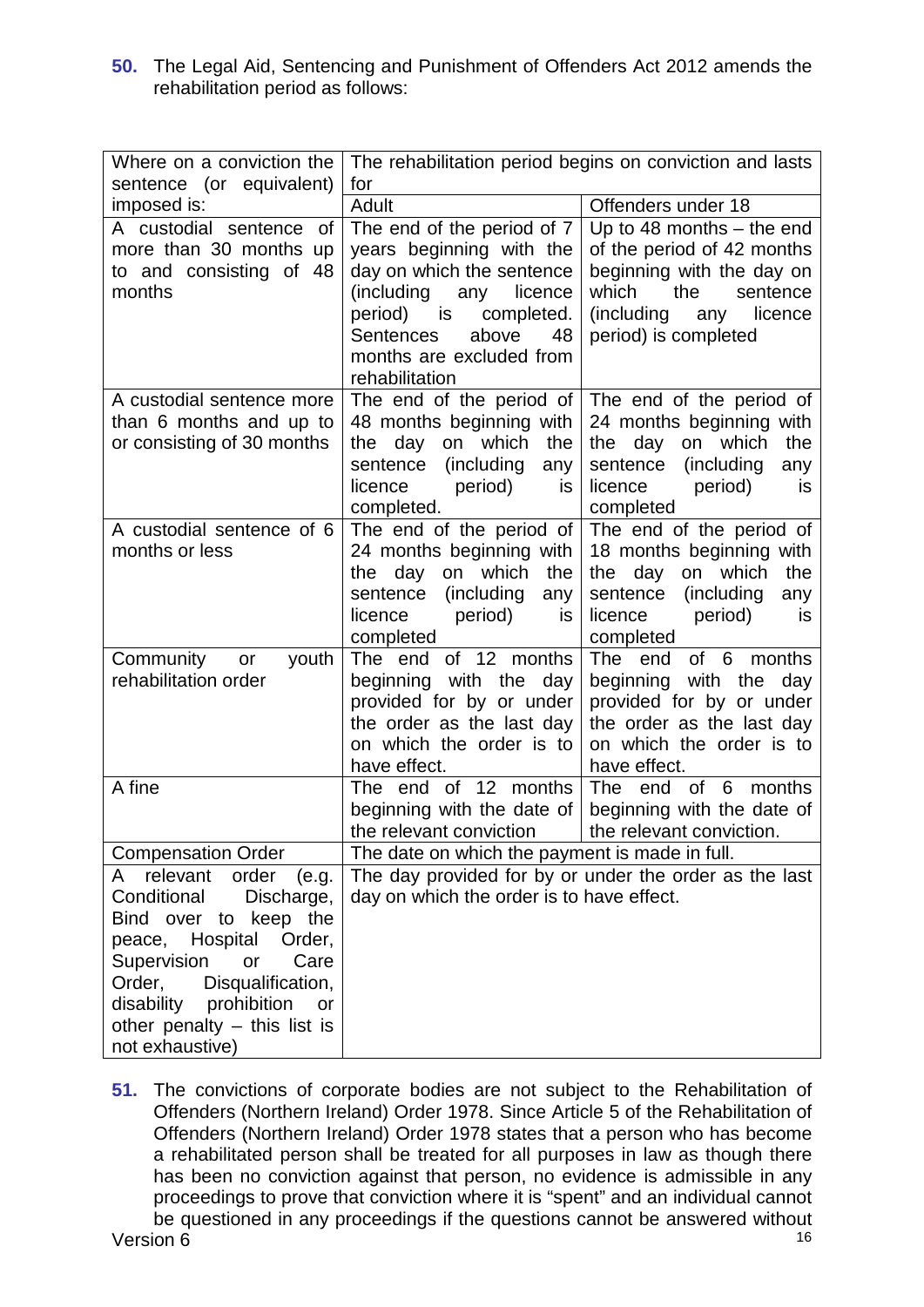**50.** The Legal Aid, Sentencing and Punishment of Offenders Act 2012 amends the rehabilitation period as follows:

| Where on a conviction the<br>sentence (or equivalent)                                                                                                                                                                                                                     | The rehabilitation period begins on conviction and lasts<br>for                                                                                                                                                                     |                                                                                                                                                                                               |
|---------------------------------------------------------------------------------------------------------------------------------------------------------------------------------------------------------------------------------------------------------------------------|-------------------------------------------------------------------------------------------------------------------------------------------------------------------------------------------------------------------------------------|-----------------------------------------------------------------------------------------------------------------------------------------------------------------------------------------------|
| imposed is:                                                                                                                                                                                                                                                               | Adult                                                                                                                                                                                                                               | Offenders under 18                                                                                                                                                                            |
| A custodial sentence of<br>more than 30 months up<br>to and consisting of 48<br>months                                                                                                                                                                                    | The end of the period of 7<br>years beginning with the<br>day on which the sentence<br>(including<br>any licence<br>period)<br>completed.<br>is is<br><b>Sentences</b><br>above<br>48<br>months are excluded from<br>rehabilitation | Up to 48 months $-$ the end<br>of the period of 42 months<br>beginning with the day on<br>which<br>the<br>sentence<br>(including<br>licence<br>any<br>period) is completed                    |
| A custodial sentence more<br>than 6 months and up to<br>or consisting of 30 months                                                                                                                                                                                        | 48 months beginning with<br>which<br>the<br>the<br>day on<br>(including<br>sentence<br>any<br>licence<br>period)<br><b>is</b><br>completed.                                                                                         | The end of the period of $ $ The end of the period of<br>24 months beginning with<br>which<br>the<br>the day<br>on<br>(including)<br>sentence<br>any<br>licence<br>period)<br>is<br>completed |
| A custodial sentence of 6<br>months or less                                                                                                                                                                                                                               | The end of the period of<br>24 months beginning with<br>the day on which<br>the<br>(including<br>sentence<br>any<br>licence<br>period)<br><b>is</b><br>completed                                                                    | The end of the period of<br>18 months beginning with<br>the day on which<br>the<br>(including)<br>sentence<br>any<br>licence<br>period)<br><b>is</b><br>completed                             |
| Community<br>youth<br>or<br>rehabilitation order                                                                                                                                                                                                                          | The end of 12 months<br>beginning with the<br>day<br>provided for by or under<br>the order as the last day<br>on which the order is to<br>have effect.                                                                              | of 6 months<br>The end<br>beginning with the<br>day<br>provided for by or under<br>the order as the last day<br>on which the order is to<br>have effect.                                      |
| A fine                                                                                                                                                                                                                                                                    | The end of 12 months<br>beginning with the date of<br>the relevant conviction                                                                                                                                                       | of 6 months<br>The end<br>beginning with the date of<br>the relevant conviction.                                                                                                              |
| <b>Compensation Order</b>                                                                                                                                                                                                                                                 | The date on which the payment is made in full.                                                                                                                                                                                      |                                                                                                                                                                                               |
| relevant<br>order<br>(e.g.<br>A<br>Conditional<br>Discharge,<br>Bind over to keep the<br>Hospital<br>Order,<br>peace,<br>Supervision<br>or<br>Care<br>Order,<br>Disqualification,<br>disability<br>prohibition<br>or<br>other penalty $-$ this list is<br>not exhaustive) | day on which the order is to have effect.                                                                                                                                                                                           | The day provided for by or under the order as the last                                                                                                                                        |

Version 6 16 and 2012 16 and 2012 16 and 2012 16 and 2012 16 and 2013 16 and 2013 16 and 2014 16 and 2014 16 and 2014 16 and 2014 16 and 2014 16 and 2014 16 and 2014 16 and 2014 16 and 2014 16 and 2014 16 and 2014 16 and 2 **51.** The convictions of corporate bodies are not subject to the Rehabilitation of Offenders (Northern Ireland) Order 1978. Since Article 5 of the Rehabilitation of Offenders (Northern Ireland) Order 1978 states that a person who has become a rehabilitated person shall be treated for all purposes in law as though there has been no conviction against that person, no evidence is admissible in any proceedings to prove that conviction where it is "spent" and an individual cannot be questioned in any proceedings if the questions cannot be answered without Version 6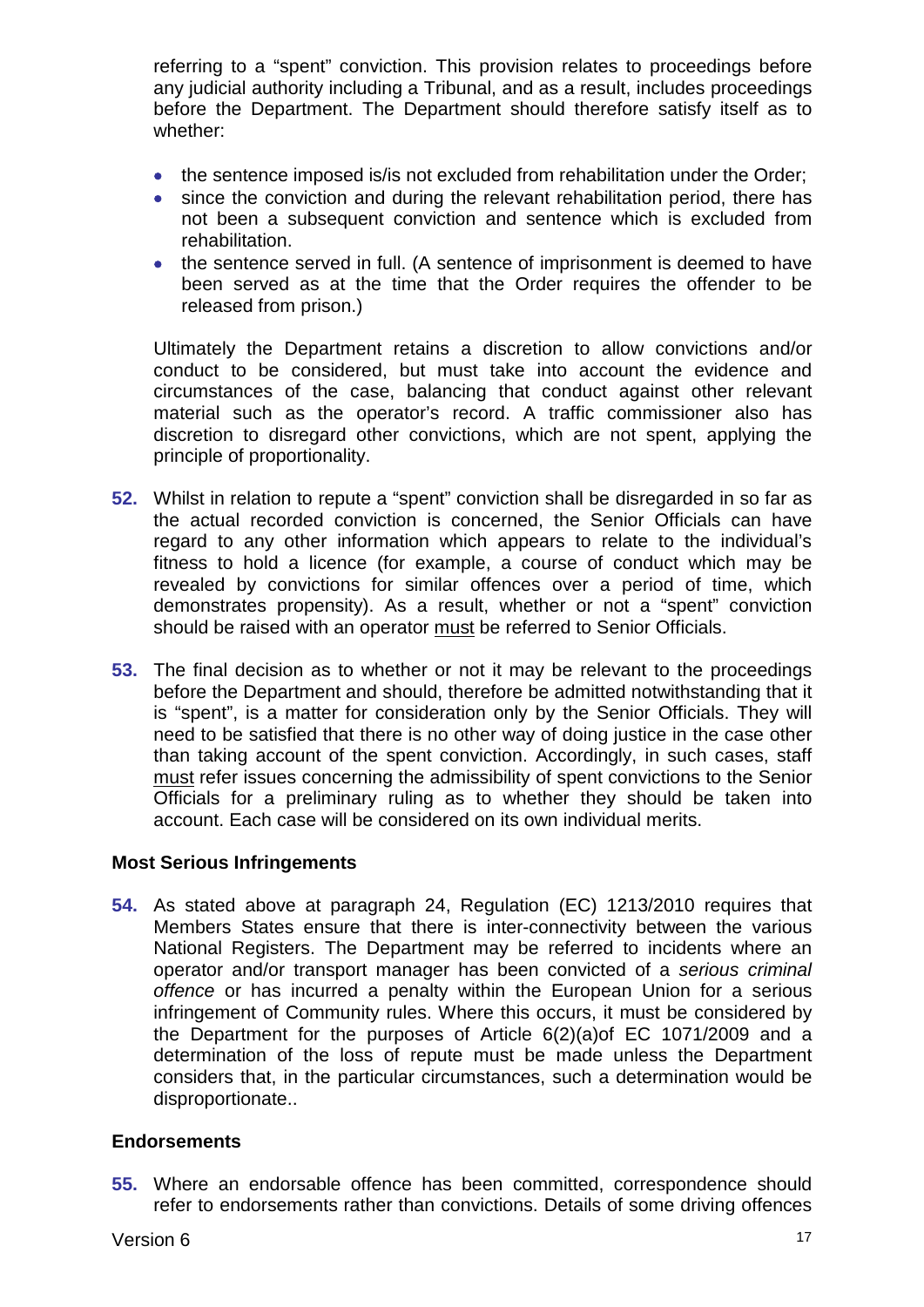referring to a "spent" conviction. This provision relates to proceedings before any judicial authority including a Tribunal, and as a result, includes proceedings before the Department. The Department should therefore satisfy itself as to whether:

- the sentence imposed is/is not excluded from rehabilitation under the Order;
- since the conviction and during the relevant rehabilitation period, there has not been a subsequent conviction and sentence which is excluded from rehabilitation.
- the sentence served in full. (A sentence of imprisonment is deemed to have been served as at the time that the Order requires the offender to be released from prison.)

Ultimately the Department retains a discretion to allow convictions and/or conduct to be considered, but must take into account the evidence and circumstances of the case, balancing that conduct against other relevant material such as the operator's record. A traffic commissioner also has discretion to disregard other convictions, which are not spent, applying the principle of proportionality.

- **52.** Whilst in relation to repute a "spent" conviction shall be disregarded in so far as the actual recorded conviction is concerned, the Senior Officials can have regard to any other information which appears to relate to the individual's fitness to hold a licence (for example, a course of conduct which may be revealed by convictions for similar offences over a period of time, which demonstrates propensity). As a result, whether or not a "spent" conviction should be raised with an operator must be referred to Senior Officials.
- **53.** The final decision as to whether or not it may be relevant to the proceedings before the Department and should, therefore be admitted notwithstanding that it is "spent", is a matter for consideration only by the Senior Officials. They will need to be satisfied that there is no other way of doing justice in the case other than taking account of the spent conviction. Accordingly, in such cases, staff must refer issues concerning the admissibility of spent convictions to the Senior Officials for a preliminary ruling as to whether they should be taken into account. Each case will be considered on its own individual merits.

## **Most Serious Infringements**

**54.** As stated above at paragraph 24, Regulation (EC) 1213/2010 requires that Members States ensure that there is inter-connectivity between the various National Registers. The Department may be referred to incidents where an operator and/or transport manager has been convicted of a *serious criminal offence* or has incurred a penalty within the European Union for a serious infringement of Community rules. Where this occurs, it must be considered by the Department for the purposes of Article 6(2)(a)of EC 1071/2009 and a determination of the loss of repute must be made unless the Department considers that, in the particular circumstances, such a determination would be disproportionate..

## **Endorsements**

**55.** Where an endorsable offence has been committed, correspondence should refer to endorsements rather than convictions. Details of some driving offences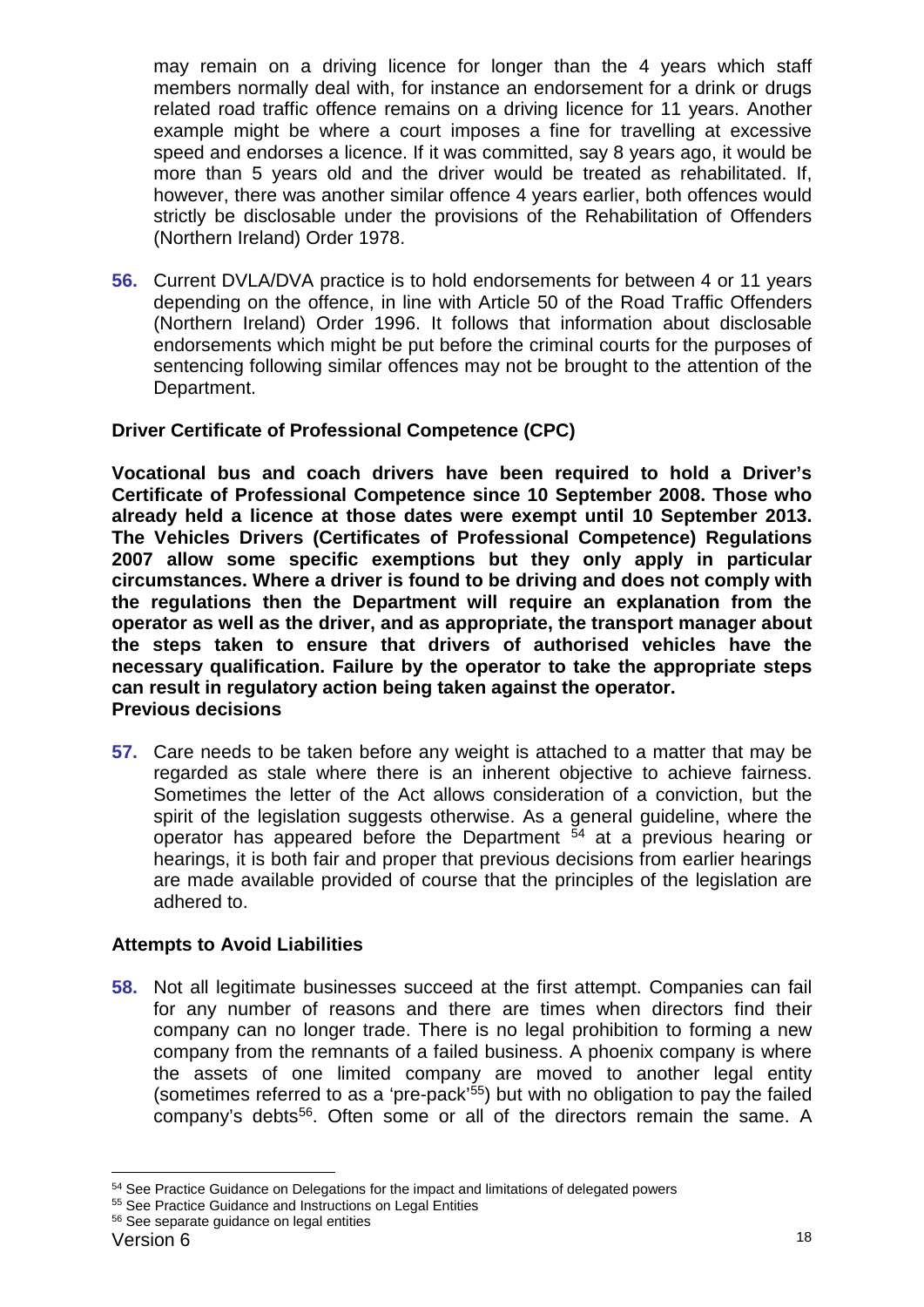may remain on a driving licence for longer than the 4 years which staff members normally deal with, for instance an endorsement for a drink or drugs related road traffic offence remains on a driving licence for 11 years. Another example might be where a court imposes a fine for travelling at excessive speed and endorses a licence. If it was committed, say 8 years ago, it would be more than 5 years old and the driver would be treated as rehabilitated. If, however, there was another similar offence 4 years earlier, both offences would strictly be disclosable under the provisions of the Rehabilitation of Offenders (Northern Ireland) Order 1978.

**56.** Current DVLA/DVA practice is to hold endorsements for between 4 or 11 years depending on the offence, in line with Article 50 of the Road Traffic Offenders (Northern Ireland) Order 1996. It follows that information about disclosable endorsements which might be put before the criminal courts for the purposes of sentencing following similar offences may not be brought to the attention of the Department.

# **Driver Certificate of Professional Competence (CPC)**

**Vocational bus and coach drivers have been required to hold a Driver's Certificate of Professional Competence since 10 September 2008. Those who already held a licence at those dates were exempt until 10 September 2013. The Vehicles Drivers (Certificates of Professional Competence) Regulations 2007 allow some specific exemptions but they only apply in particular circumstances. Where a driver is found to be driving and does not comply with the regulations then the Department will require an explanation from the operator as well as the driver, and as appropriate, the transport manager about the steps taken to ensure that drivers of authorised vehicles have the necessary qualification. Failure by the operator to take the appropriate steps can result in regulatory action being taken against the operator. Previous decisions**

**57.** Care needs to be taken before any weight is attached to a matter that may be regarded as stale where there is an inherent objective to achieve fairness. Sometimes the letter of the Act allows consideration of a conviction, but the spirit of the legislation suggests otherwise. As a general guideline, where the operator has appeared before the Department [54](#page-17-0) at a previous hearing or hearings, it is both fair and proper that previous decisions from earlier hearings are made available provided of course that the principles of the legislation are adhered to.

# **Attempts to Avoid Liabilities**

**58.** Not all legitimate businesses succeed at the first attempt. Companies can fail for any number of reasons and there are times when directors find their company can no longer trade. There is no legal prohibition to forming a new company from the remnants of a failed business. A phoenix company is where the assets of one limited company are moved to another legal entity (sometimes referred to as a 'pre-pack['55](#page-17-1)) but with no obligation to pay the failed company's debts<sup>[56](#page-17-2)</sup>. Often some or all of the directors remain the same. A

<span id="page-17-0"></span> $54$  See Practice Guidance on Delegations for the impact and limitations of delegated powers  $55$  See Practice Guidance and Instructions on Legal Entities  $56$  See separate guidance on legal entities

<span id="page-17-1"></span>

<span id="page-17-2"></span>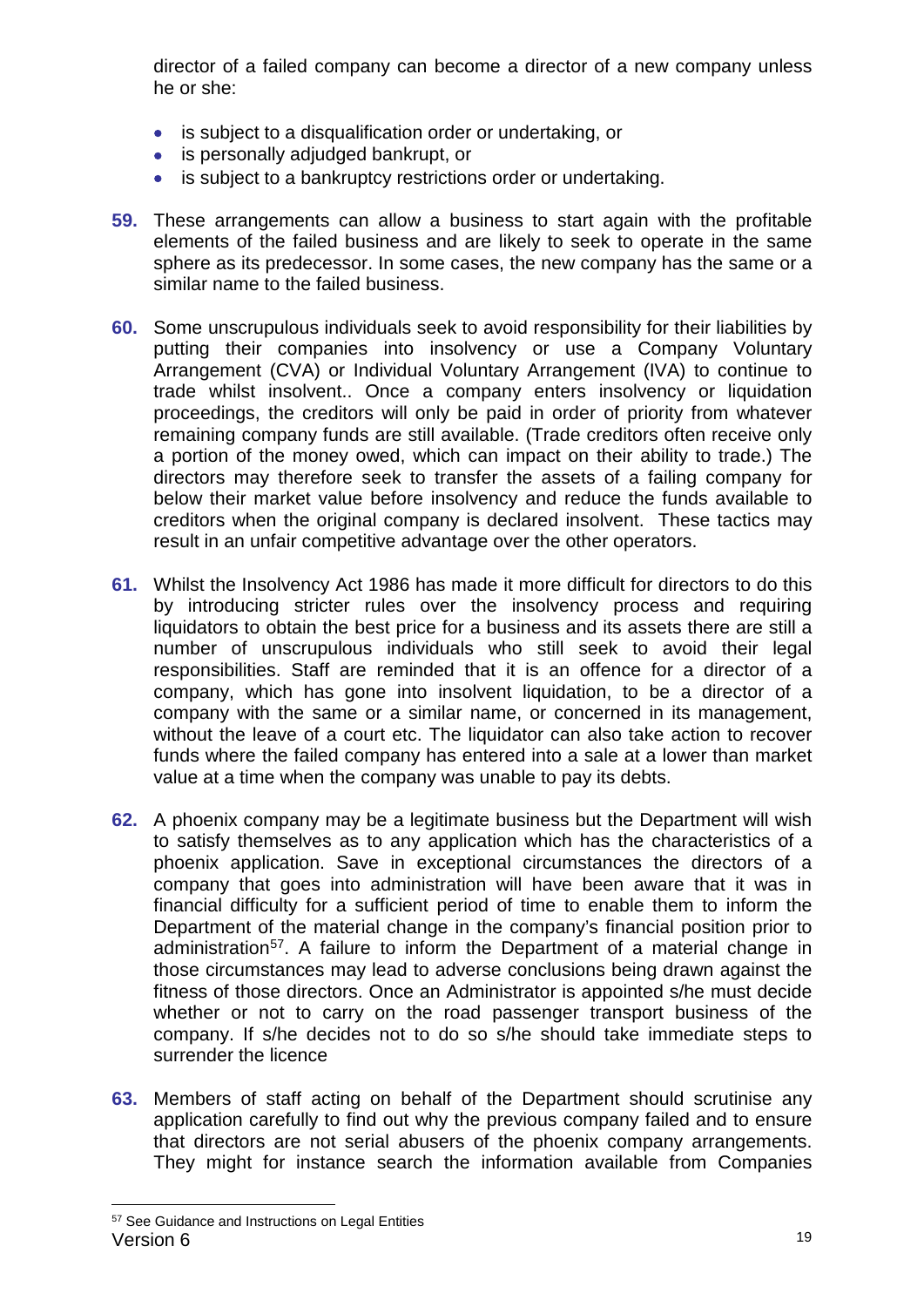director of a failed company can become a director of a new company unless he or she:

- is subject to a disqualification order or undertaking, or
- is personally adjudged bankrupt, or
- is subject to a bankruptcy restrictions order or undertaking.
- **59.** These arrangements can allow a business to start again with the profitable elements of the failed business and are likely to seek to operate in the same sphere as its predecessor. In some cases, the new company has the same or a similar name to the failed business.
- **60.** Some unscrupulous individuals seek to avoid responsibility for their liabilities by putting their companies into insolvency or use a Company Voluntary Arrangement (CVA) or Individual Voluntary Arrangement (IVA) to continue to trade whilst insolvent.. Once a company enters insolvency or liquidation proceedings, the creditors will only be paid in order of priority from whatever remaining company funds are still available. (Trade creditors often receive only a portion of the money owed, which can impact on their ability to trade.) The directors may therefore seek to transfer the assets of a failing company for below their market value before insolvency and reduce the funds available to creditors when the original company is declared insolvent. These tactics may result in an unfair competitive advantage over the other operators.
- **61.** Whilst the Insolvency Act 1986 has made it more difficult for directors to do this by introducing stricter rules over the insolvency process and requiring liquidators to obtain the best price for a business and its assets there are still a number of unscrupulous individuals who still seek to avoid their legal responsibilities. Staff are reminded that it is an offence for a director of a company, which has gone into insolvent liquidation, to be a director of a company with the same or a similar name, or concerned in its management, without the leave of a court etc. The liquidator can also take action to recover funds where the failed company has entered into a sale at a lower than market value at a time when the company was unable to pay its debts.
- **62.** A phoenix company may be a legitimate business but the Department will wish to satisfy themselves as to any application which has the characteristics of a phoenix application. Save in exceptional circumstances the directors of a company that goes into administration will have been aware that it was in financial difficulty for a sufficient period of time to enable them to inform the Department of the material change in the company's financial position prior to administration<sup>[57](#page-18-0)</sup>. A failure to inform the Department of a material change in those circumstances may lead to adverse conclusions being drawn against the fitness of those directors. Once an Administrator is appointed s/he must decide whether or not to carry on the road passenger transport business of the company. If s/he decides not to do so s/he should take immediate steps to surrender the licence
- **63.** Members of staff acting on behalf of the Department should scrutinise any application carefully to find out why the previous company failed and to ensure that directors are not serial abusers of the phoenix company arrangements. They might for instance search the information available from Companies

<span id="page-18-0"></span>Version 6 19 57 See Guidance and Instructions on Legal Entities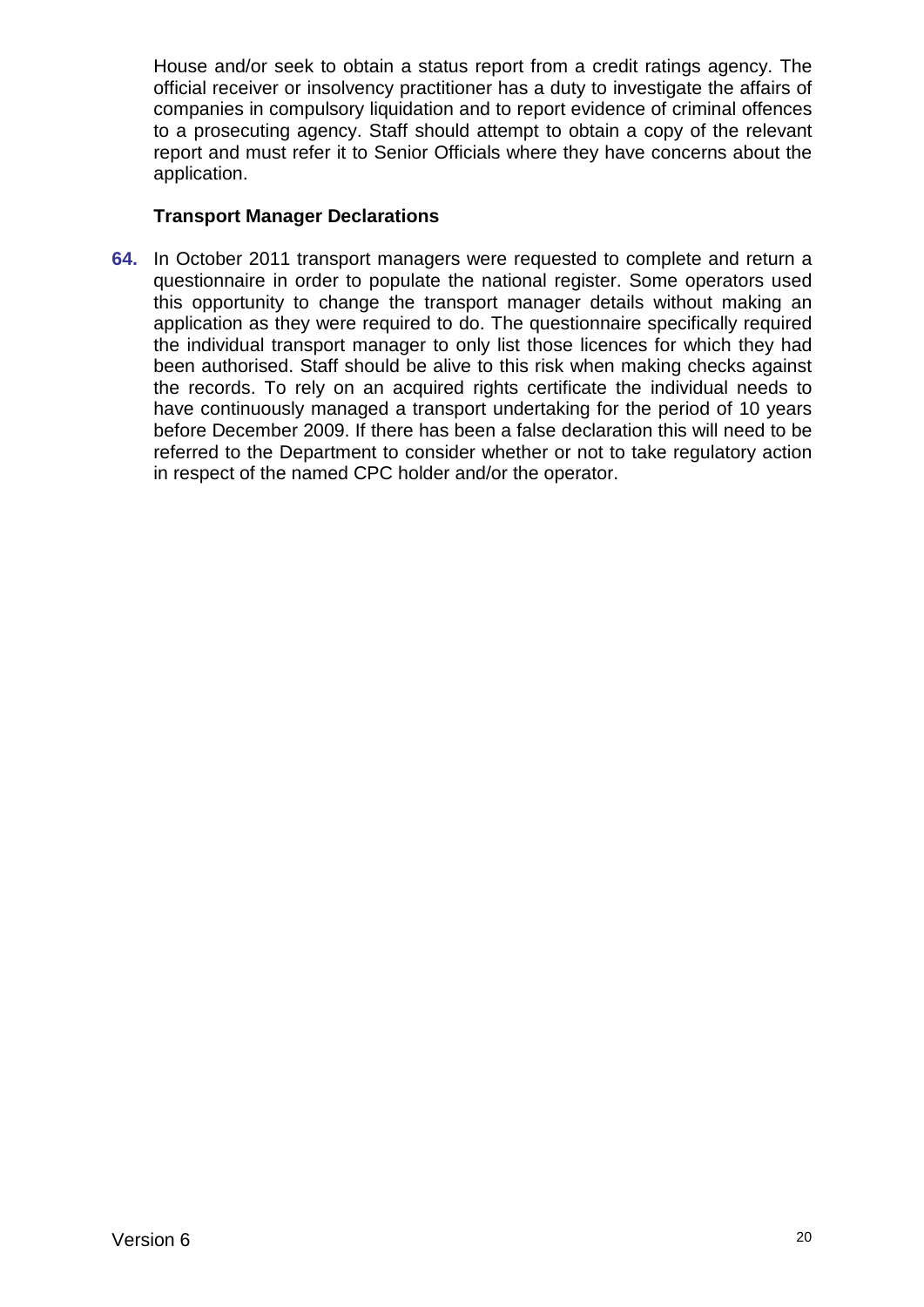House and/or seek to obtain a status report from a credit ratings agency. The official receiver or insolvency practitioner has a duty to investigate the affairs of companies in compulsory liquidation and to report evidence of criminal offences to a prosecuting agency. Staff should attempt to obtain a copy of the relevant report and must refer it to Senior Officials where they have concerns about the application.

## **Transport Manager Declarations**

**64.** In October 2011 transport managers were requested to complete and return a questionnaire in order to populate the national register. Some operators used this opportunity to change the transport manager details without making an application as they were required to do. The questionnaire specifically required the individual transport manager to only list those licences for which they had been authorised. Staff should be alive to this risk when making checks against the records. To rely on an acquired rights certificate the individual needs to have continuously managed a transport undertaking for the period of 10 years before December 2009. If there has been a false declaration this will need to be referred to the Department to consider whether or not to take regulatory action in respect of the named CPC holder and/or the operator.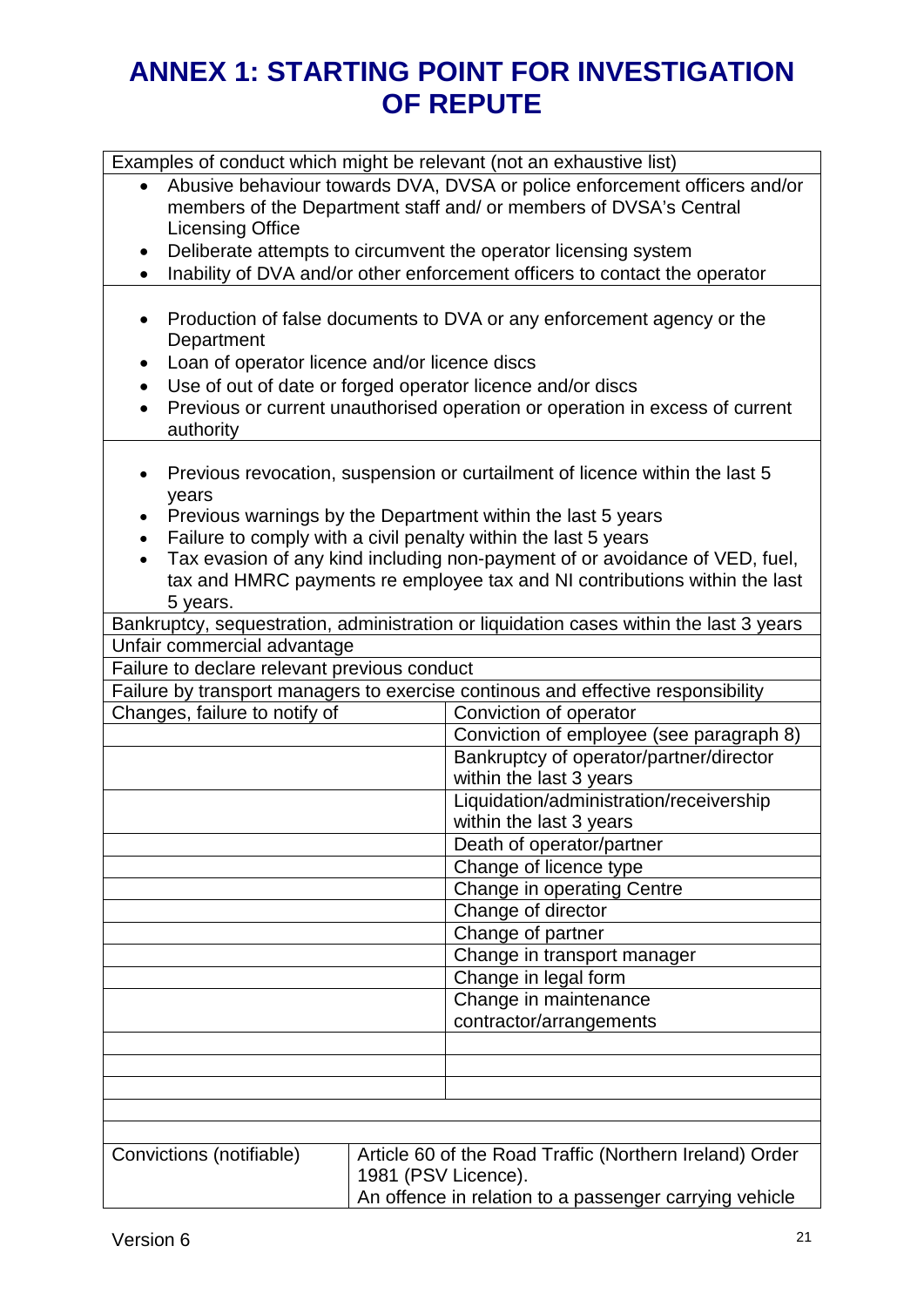# **ANNEX 1: STARTING POINT FOR INVESTIGATION OF REPUTE**

| Examples of conduct which might be relevant (not an exhaustive list)                                                                                                                                                                                                                                                                                                                                                          |                                                                                                                                                                           |                                                                                                                                                                                                                                                                      |  |  |
|-------------------------------------------------------------------------------------------------------------------------------------------------------------------------------------------------------------------------------------------------------------------------------------------------------------------------------------------------------------------------------------------------------------------------------|---------------------------------------------------------------------------------------------------------------------------------------------------------------------------|----------------------------------------------------------------------------------------------------------------------------------------------------------------------------------------------------------------------------------------------------------------------|--|--|
|                                                                                                                                                                                                                                                                                                                                                                                                                               | Abusive behaviour towards DVA, DVSA or police enforcement officers and/or<br>members of the Department staff and/ or members of DVSA's Central<br><b>Licensing Office</b> |                                                                                                                                                                                                                                                                      |  |  |
| $\bullet$                                                                                                                                                                                                                                                                                                                                                                                                                     |                                                                                                                                                                           | Deliberate attempts to circumvent the operator licensing system                                                                                                                                                                                                      |  |  |
| $\bullet$                                                                                                                                                                                                                                                                                                                                                                                                                     |                                                                                                                                                                           | Inability of DVA and/or other enforcement officers to contact the operator                                                                                                                                                                                           |  |  |
| $\bullet$<br>٠<br>$\bullet$<br>$\bullet$                                                                                                                                                                                                                                                                                                                                                                                      | Department<br>authority                                                                                                                                                   | Production of false documents to DVA or any enforcement agency or the<br>Loan of operator licence and/or licence discs<br>Use of out of date or forged operator licence and/or discs<br>Previous or current unauthorised operation or operation in excess of current |  |  |
| Previous revocation, suspension or curtailment of licence within the last 5<br>٠<br>years<br>Previous warnings by the Department within the last 5 years<br>Failure to comply with a civil penalty within the last 5 years<br>$\bullet$<br>Tax evasion of any kind including non-payment of or avoidance of VED, fuel,<br>$\bullet$<br>tax and HMRC payments re employee tax and NI contributions within the last<br>5 years. |                                                                                                                                                                           |                                                                                                                                                                                                                                                                      |  |  |
|                                                                                                                                                                                                                                                                                                                                                                                                                               |                                                                                                                                                                           | Bankruptcy, sequestration, administration or liquidation cases within the last 3 years                                                                                                                                                                               |  |  |
|                                                                                                                                                                                                                                                                                                                                                                                                                               | Unfair commercial advantage                                                                                                                                               |                                                                                                                                                                                                                                                                      |  |  |
|                                                                                                                                                                                                                                                                                                                                                                                                                               | Failure to declare relevant previous conduct                                                                                                                              |                                                                                                                                                                                                                                                                      |  |  |
|                                                                                                                                                                                                                                                                                                                                                                                                                               |                                                                                                                                                                           | Failure by transport managers to exercise continous and effective responsibility                                                                                                                                                                                     |  |  |
|                                                                                                                                                                                                                                                                                                                                                                                                                               | Changes, failure to notify of                                                                                                                                             | Conviction of operator                                                                                                                                                                                                                                               |  |  |
|                                                                                                                                                                                                                                                                                                                                                                                                                               |                                                                                                                                                                           | Conviction of employee (see paragraph 8)                                                                                                                                                                                                                             |  |  |
|                                                                                                                                                                                                                                                                                                                                                                                                                               |                                                                                                                                                                           | Bankruptcy of operator/partner/director                                                                                                                                                                                                                              |  |  |
|                                                                                                                                                                                                                                                                                                                                                                                                                               |                                                                                                                                                                           | within the last 3 years                                                                                                                                                                                                                                              |  |  |
|                                                                                                                                                                                                                                                                                                                                                                                                                               |                                                                                                                                                                           | Liquidation/administration/receivership                                                                                                                                                                                                                              |  |  |
|                                                                                                                                                                                                                                                                                                                                                                                                                               |                                                                                                                                                                           | within the last 3 years                                                                                                                                                                                                                                              |  |  |
|                                                                                                                                                                                                                                                                                                                                                                                                                               |                                                                                                                                                                           | Death of operator/partner                                                                                                                                                                                                                                            |  |  |
|                                                                                                                                                                                                                                                                                                                                                                                                                               |                                                                                                                                                                           | Change of licence type                                                                                                                                                                                                                                               |  |  |
|                                                                                                                                                                                                                                                                                                                                                                                                                               |                                                                                                                                                                           | Change in operating Centre                                                                                                                                                                                                                                           |  |  |
|                                                                                                                                                                                                                                                                                                                                                                                                                               |                                                                                                                                                                           | Change of director                                                                                                                                                                                                                                                   |  |  |
|                                                                                                                                                                                                                                                                                                                                                                                                                               |                                                                                                                                                                           | Change of partner                                                                                                                                                                                                                                                    |  |  |
|                                                                                                                                                                                                                                                                                                                                                                                                                               |                                                                                                                                                                           | Change in transport manager                                                                                                                                                                                                                                          |  |  |
|                                                                                                                                                                                                                                                                                                                                                                                                                               |                                                                                                                                                                           | Change in legal form                                                                                                                                                                                                                                                 |  |  |
|                                                                                                                                                                                                                                                                                                                                                                                                                               |                                                                                                                                                                           | Change in maintenance                                                                                                                                                                                                                                                |  |  |
|                                                                                                                                                                                                                                                                                                                                                                                                                               |                                                                                                                                                                           | contractor/arrangements                                                                                                                                                                                                                                              |  |  |
|                                                                                                                                                                                                                                                                                                                                                                                                                               |                                                                                                                                                                           |                                                                                                                                                                                                                                                                      |  |  |
|                                                                                                                                                                                                                                                                                                                                                                                                                               |                                                                                                                                                                           |                                                                                                                                                                                                                                                                      |  |  |
|                                                                                                                                                                                                                                                                                                                                                                                                                               |                                                                                                                                                                           |                                                                                                                                                                                                                                                                      |  |  |
|                                                                                                                                                                                                                                                                                                                                                                                                                               |                                                                                                                                                                           |                                                                                                                                                                                                                                                                      |  |  |
|                                                                                                                                                                                                                                                                                                                                                                                                                               |                                                                                                                                                                           |                                                                                                                                                                                                                                                                      |  |  |
| Article 60 of the Road Traffic (Northern Ireland) Order<br>Convictions (notifiable)                                                                                                                                                                                                                                                                                                                                           |                                                                                                                                                                           |                                                                                                                                                                                                                                                                      |  |  |
|                                                                                                                                                                                                                                                                                                                                                                                                                               | 1981 (PSV Licence).                                                                                                                                                       |                                                                                                                                                                                                                                                                      |  |  |
|                                                                                                                                                                                                                                                                                                                                                                                                                               |                                                                                                                                                                           | An offence in relation to a passenger carrying vehicle                                                                                                                                                                                                               |  |  |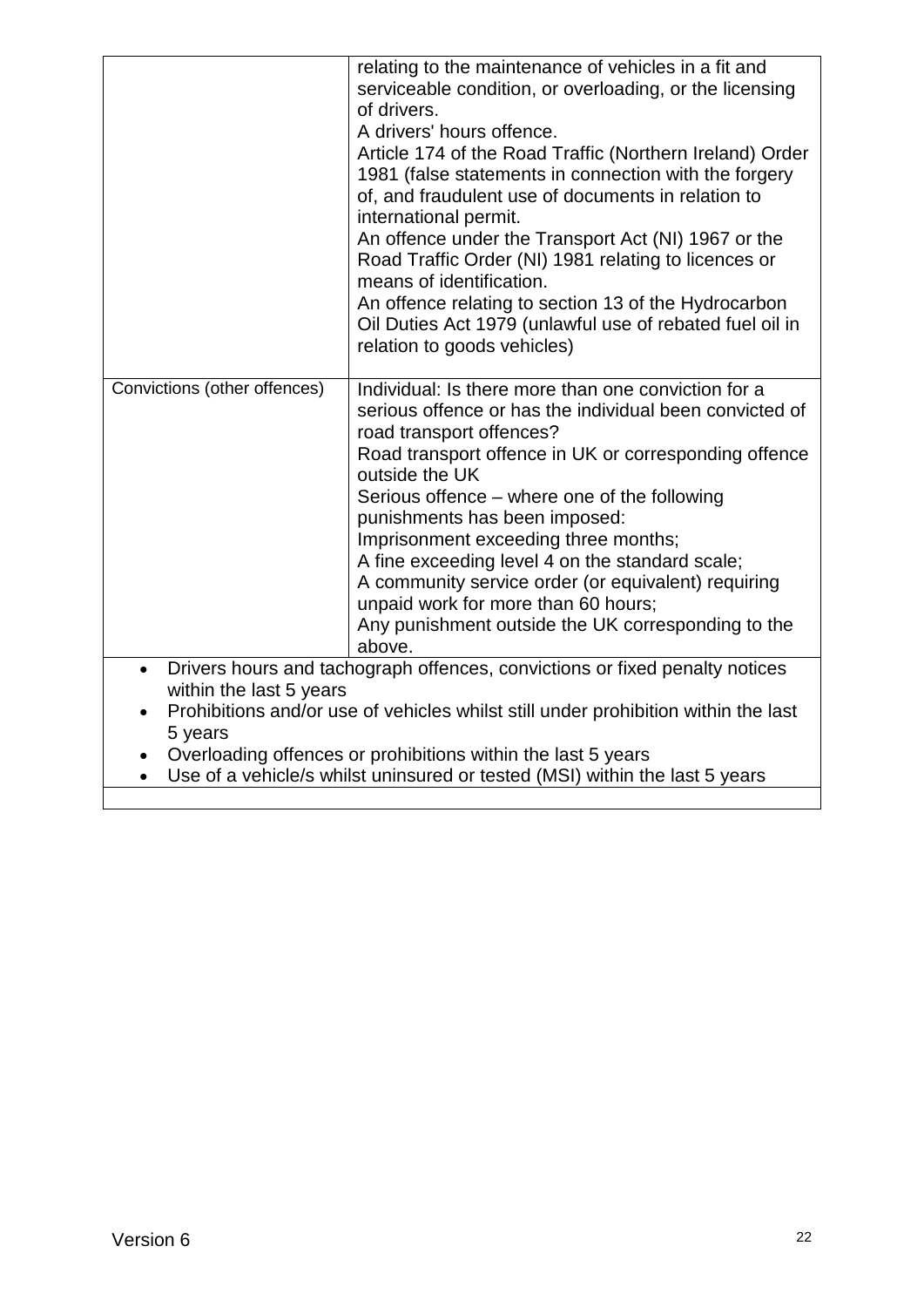|                                                                                          | relating to the maintenance of vehicles in a fit and<br>serviceable condition, or overloading, or the licensing<br>of drivers.<br>A drivers' hours offence.<br>Article 174 of the Road Traffic (Northern Ireland) Order<br>1981 (false statements in connection with the forgery<br>of, and fraudulent use of documents in relation to<br>international permit.<br>An offence under the Transport Act (NI) 1967 or the<br>Road Traffic Order (NI) 1981 relating to licences or<br>means of identification.<br>An offence relating to section 13 of the Hydrocarbon<br>Oil Duties Act 1979 (unlawful use of rebated fuel oil in<br>relation to goods vehicles) |  |
|------------------------------------------------------------------------------------------|---------------------------------------------------------------------------------------------------------------------------------------------------------------------------------------------------------------------------------------------------------------------------------------------------------------------------------------------------------------------------------------------------------------------------------------------------------------------------------------------------------------------------------------------------------------------------------------------------------------------------------------------------------------|--|
| Convictions (other offences)                                                             | Individual: Is there more than one conviction for a<br>serious offence or has the individual been convicted of<br>road transport offences?<br>Road transport offence in UK or corresponding offence<br>outside the UK<br>Serious offence – where one of the following<br>punishments has been imposed:<br>Imprisonment exceeding three months;<br>A fine exceeding level 4 on the standard scale;<br>A community service order (or equivalent) requiring<br>unpaid work for more than 60 hours;<br>Any punishment outside the UK corresponding to the<br>above.                                                                                               |  |
| Drivers hours and tachograph offences, convictions or fixed penalty notices<br>$\bullet$ |                                                                                                                                                                                                                                                                                                                                                                                                                                                                                                                                                                                                                                                               |  |
| within the last 5 years                                                                  | Prohibitions and/or use of vehicles whilst still under prohibition within the last                                                                                                                                                                                                                                                                                                                                                                                                                                                                                                                                                                            |  |
| 5 years                                                                                  |                                                                                                                                                                                                                                                                                                                                                                                                                                                                                                                                                                                                                                                               |  |
| Overloading offences or prohibitions within the last 5 years                             |                                                                                                                                                                                                                                                                                                                                                                                                                                                                                                                                                                                                                                                               |  |
| $\bullet$                                                                                | Use of a vehicle/s whilst uninsured or tested (MSI) within the last 5 years                                                                                                                                                                                                                                                                                                                                                                                                                                                                                                                                                                                   |  |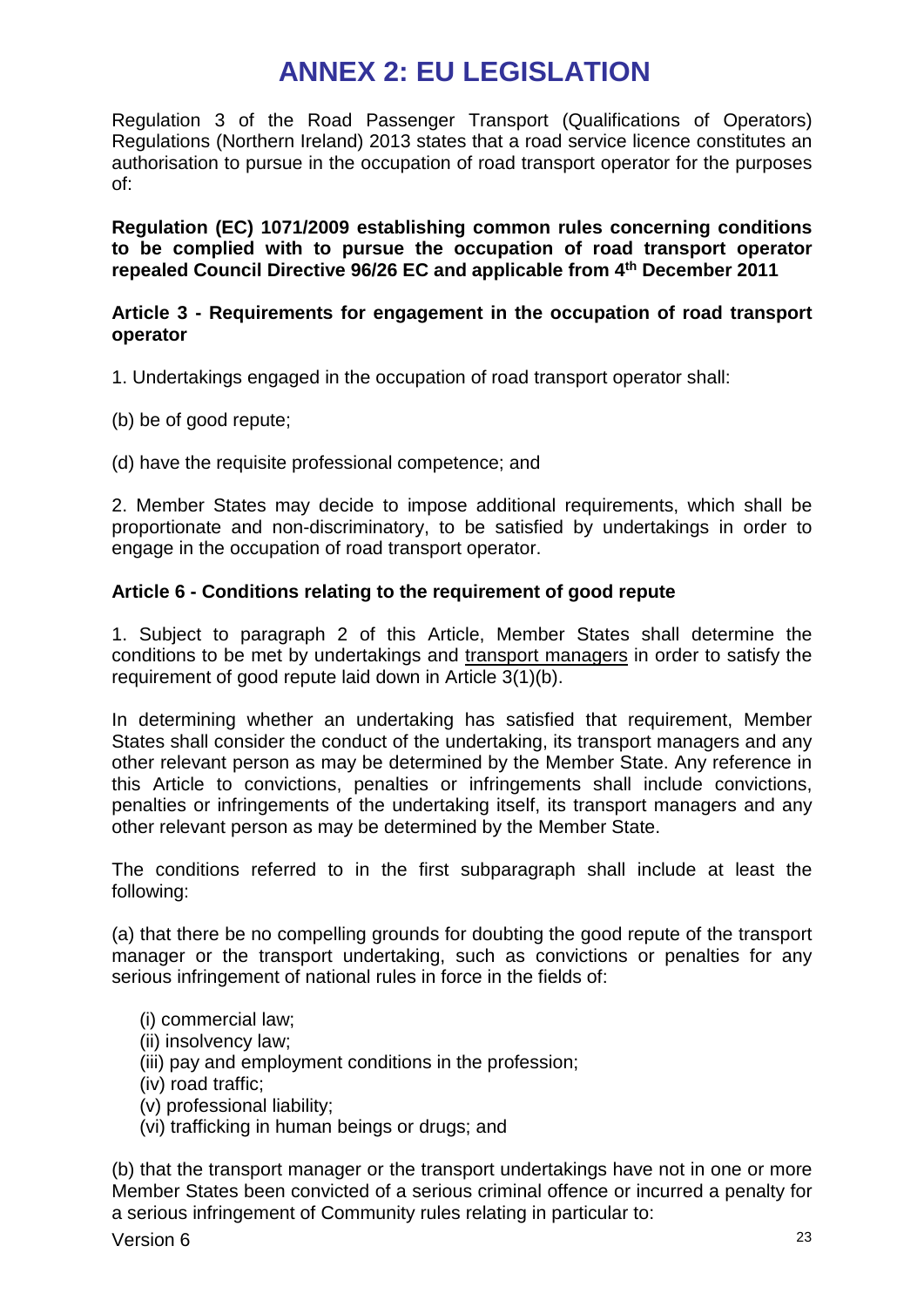# **ANNEX 2: EU LEGISLATION**

Regulation 3 of the Road Passenger Transport (Qualifications of Operators) Regulations (Northern Ireland) 2013 states that a road service licence constitutes an authorisation to pursue in the occupation of road transport operator for the purposes of:

**Regulation (EC) 1071/2009 establishing common rules concerning conditions to be complied with to pursue the occupation of road transport operator repealed Council Directive 96/26 EC and applicable from 4th December 2011**

## **Article 3 - Requirements for engagement in the occupation of road transport operator**

1. Undertakings engaged in the occupation of road transport operator shall:

- (b) be of good repute;
- (d) have the requisite professional competence; and

2. Member States may decide to impose additional requirements, which shall be proportionate and non-discriminatory, to be satisfied by undertakings in order to engage in the occupation of road transport operator.

# **Article 6 - Conditions relating to the requirement of good repute**

1. Subject to paragraph 2 of this Article, Member States shall determine the conditions to be met by undertakings and transport managers in order to satisfy the requirement of good repute laid down in Article 3(1)(b).

In determining whether an undertaking has satisfied that requirement, Member States shall consider the conduct of the undertaking, its transport managers and any other relevant person as may be determined by the Member State. Any reference in this Article to convictions, penalties or infringements shall include convictions, penalties or infringements of the undertaking itself, its transport managers and any other relevant person as may be determined by the Member State.

The conditions referred to in the first subparagraph shall include at least the following:

(a) that there be no compelling grounds for doubting the good repute of the transport manager or the transport undertaking, such as convictions or penalties for any serious infringement of national rules in force in the fields of:

- (i) commercial law;
- (ii) insolvency law;
- (iii) pay and employment conditions in the profession;
- (iv) road traffic;
- (v) professional liability;
- (vi) trafficking in human beings or drugs; and

(b) that the transport manager or the transport undertakings have not in one or more Member States been convicted of a serious criminal offence or incurred a penalty for a serious infringement of Community rules relating in particular to: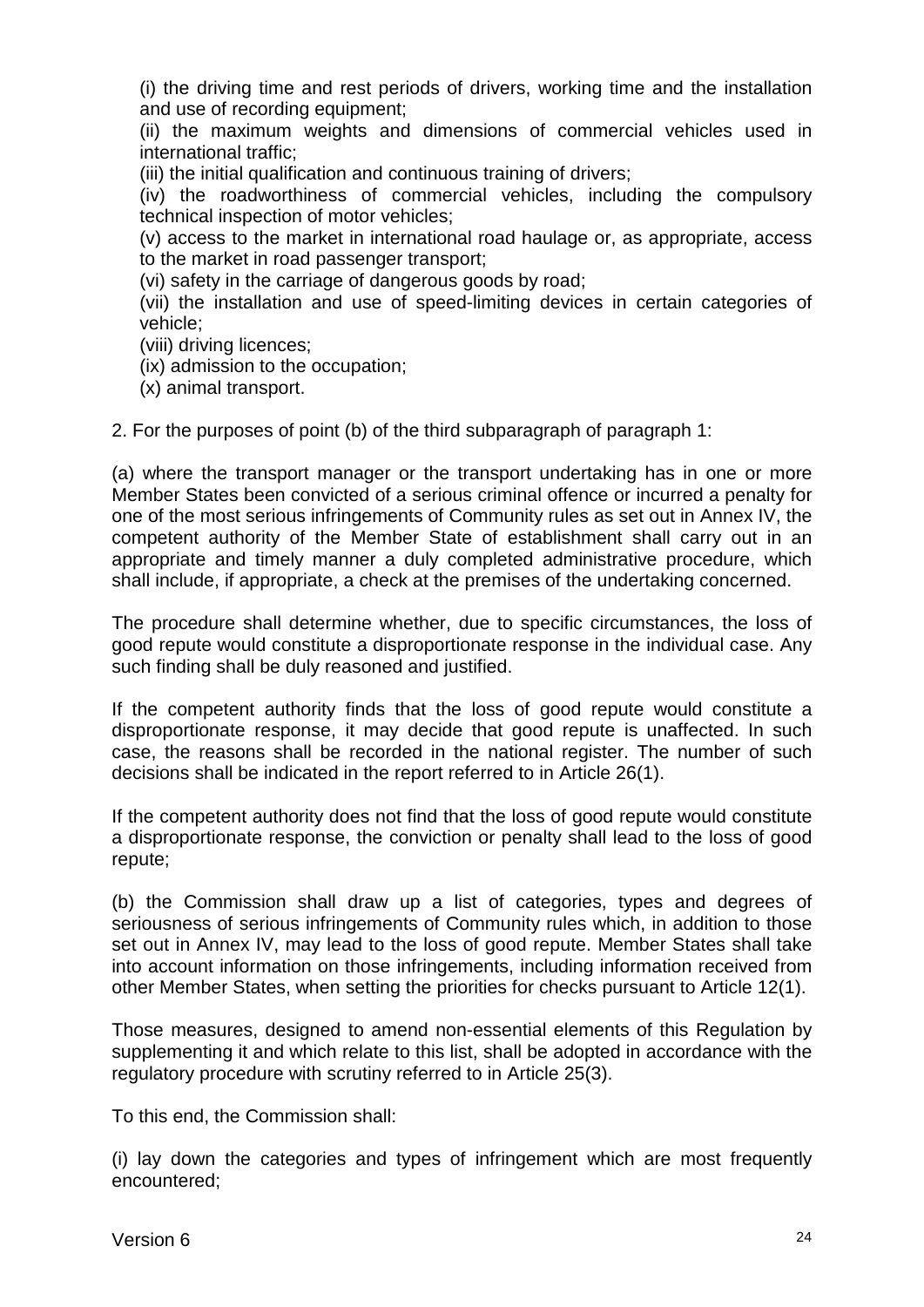(i) the driving time and rest periods of drivers, working time and the installation and use of recording equipment;

(ii) the maximum weights and dimensions of commercial vehicles used in international traffic;

(iii) the initial qualification and continuous training of drivers;

(iv) the roadworthiness of commercial vehicles, including the compulsory technical inspection of motor vehicles;

(v) access to the market in international road haulage or, as appropriate, access to the market in road passenger transport;

(vi) safety in the carriage of dangerous goods by road;

(vii) the installation and use of speed-limiting devices in certain categories of vehicle;

(viii) driving licences;

(ix) admission to the occupation;

(x) animal transport.

2. For the purposes of point (b) of the third subparagraph of paragraph 1:

(a) where the transport manager or the transport undertaking has in one or more Member States been convicted of a serious criminal offence or incurred a penalty for one of the most serious infringements of Community rules as set out in Annex IV, the competent authority of the Member State of establishment shall carry out in an appropriate and timely manner a duly completed administrative procedure, which shall include, if appropriate, a check at the premises of the undertaking concerned.

The procedure shall determine whether, due to specific circumstances, the loss of good repute would constitute a disproportionate response in the individual case. Any such finding shall be duly reasoned and justified.

If the competent authority finds that the loss of good repute would constitute a disproportionate response, it may decide that good repute is unaffected. In such case, the reasons shall be recorded in the national register. The number of such decisions shall be indicated in the report referred to in Article 26(1).

If the competent authority does not find that the loss of good repute would constitute a disproportionate response, the conviction or penalty shall lead to the loss of good repute;

(b) the Commission shall draw up a list of categories, types and degrees of seriousness of serious infringements of Community rules which, in addition to those set out in Annex IV, may lead to the loss of good repute. Member States shall take into account information on those infringements, including information received from other Member States, when setting the priorities for checks pursuant to Article 12(1).

Those measures, designed to amend non-essential elements of this Regulation by supplementing it and which relate to this list, shall be adopted in accordance with the regulatory procedure with scrutiny referred to in Article 25(3).

To this end, the Commission shall:

(i) lay down the categories and types of infringement which are most frequently encountered;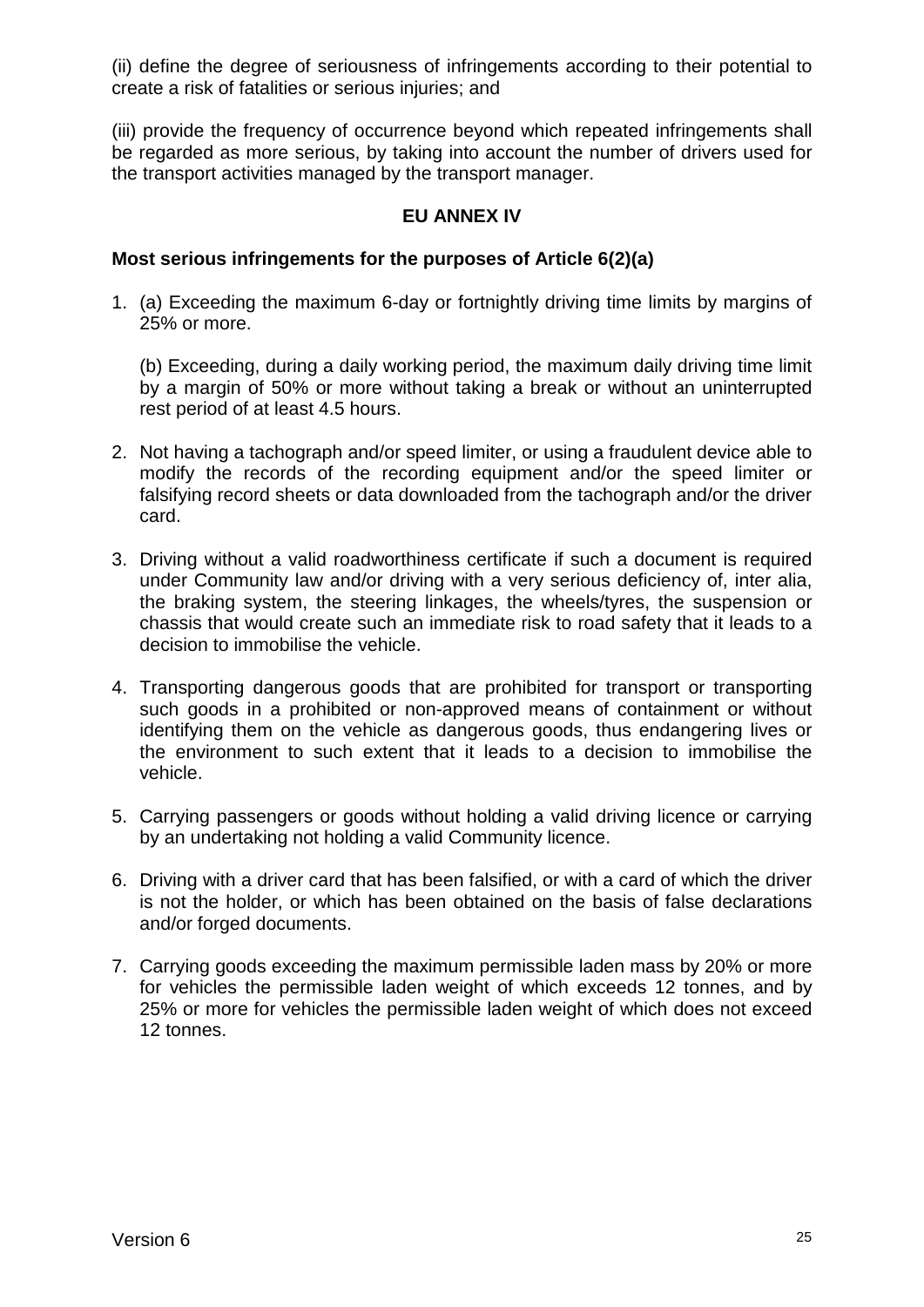(ii) define the degree of seriousness of infringements according to their potential to create a risk of fatalities or serious injuries; and

(iii) provide the frequency of occurrence beyond which repeated infringements shall be regarded as more serious, by taking into account the number of drivers used for the transport activities managed by the transport manager.

## **EU ANNEX IV**

### **Most serious infringements for the purposes of Article 6(2)(a)**

1. (a) Exceeding the maximum 6-day or fortnightly driving time limits by margins of 25% or more.

(b) Exceeding, during a daily working period, the maximum daily driving time limit by a margin of 50% or more without taking a break or without an uninterrupted rest period of at least 4.5 hours.

- 2. Not having a tachograph and/or speed limiter, or using a fraudulent device able to modify the records of the recording equipment and/or the speed limiter or falsifying record sheets or data downloaded from the tachograph and/or the driver card.
- 3. Driving without a valid roadworthiness certificate if such a document is required under Community law and/or driving with a very serious deficiency of, inter alia, the braking system, the steering linkages, the wheels/tyres, the suspension or chassis that would create such an immediate risk to road safety that it leads to a decision to immobilise the vehicle.
- 4. Transporting dangerous goods that are prohibited for transport or transporting such goods in a prohibited or non-approved means of containment or without identifying them on the vehicle as dangerous goods, thus endangering lives or the environment to such extent that it leads to a decision to immobilise the vehicle.
- 5. Carrying passengers or goods without holding a valid driving licence or carrying by an undertaking not holding a valid Community licence.
- 6. Driving with a driver card that has been falsified, or with a card of which the driver is not the holder, or which has been obtained on the basis of false declarations and/or forged documents.
- 7. Carrying goods exceeding the maximum permissible laden mass by 20% or more for vehicles the permissible laden weight of which exceeds 12 tonnes, and by 25% or more for vehicles the permissible laden weight of which does not exceed 12 tonnes.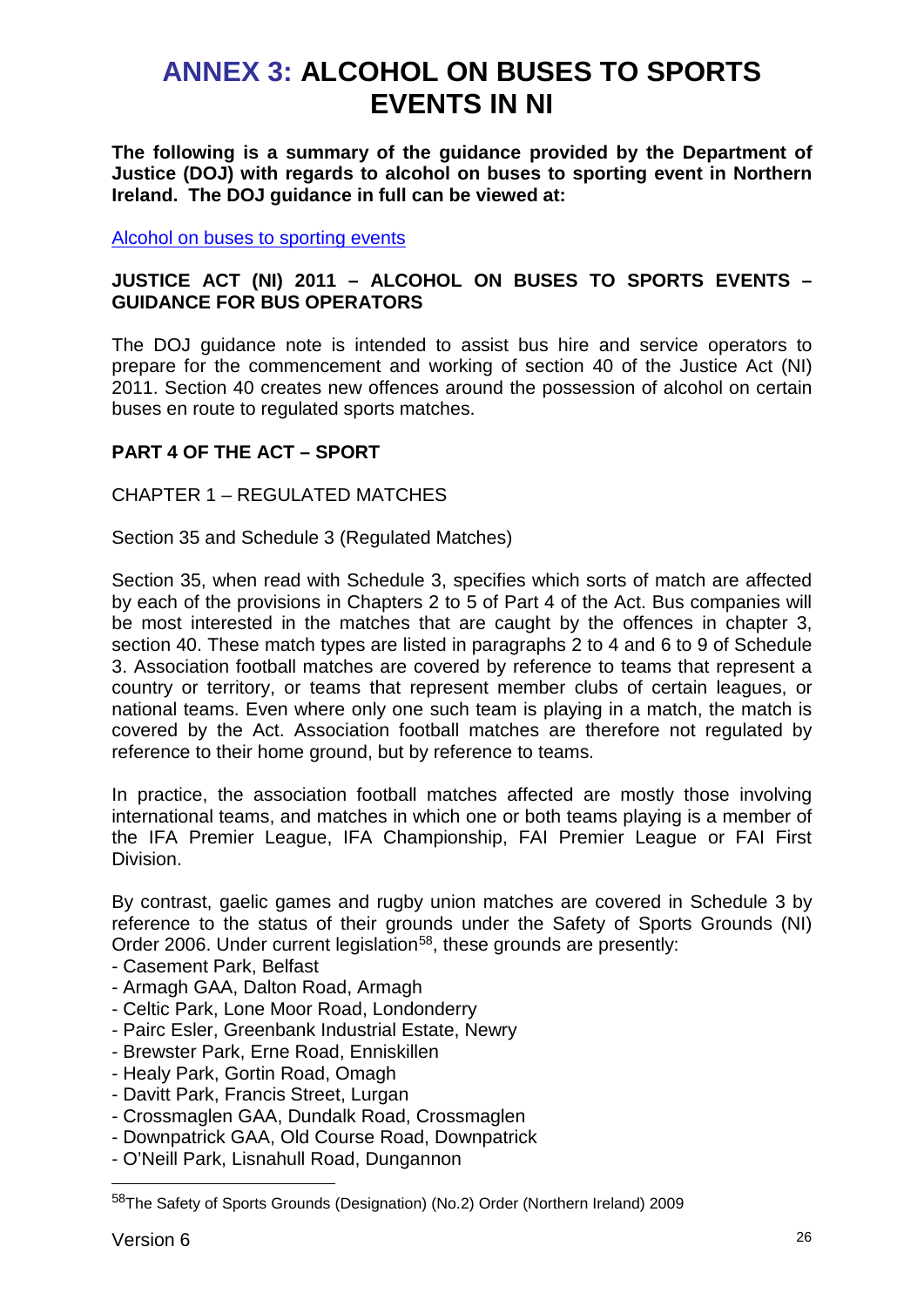# **ANNEX 3: ALCOHOL ON BUSES TO SPORTS EVENTS IN NI**

**The following is a summary of the guidance provided by the Department of Justice (DOJ) with regards to alcohol on buses to sporting event in Northern Ireland. The DOJ guidance in full can be viewed at:**

[Alcohol on buses to sporting events](https://www.justice-ni.gov.uk/publications/justice-act-ni-2011-alcohol-buses-sports-events-guidance-bus-operators)

## **JUSTICE ACT (NI) 2011 – ALCOHOL ON BUSES TO SPORTS EVENTS – GUIDANCE FOR BUS OPERATORS**

The DOJ guidance note is intended to assist bus hire and service operators to prepare for the commencement and working of section 40 of the Justice Act (NI) 2011. Section 40 creates new offences around the possession of alcohol on certain buses en route to regulated sports matches.

## **PART 4 OF THE ACT – SPORT**

## CHAPTER 1 – REGULATED MATCHES

Section 35 and Schedule 3 (Regulated Matches)

Section 35, when read with Schedule 3, specifies which sorts of match are affected by each of the provisions in Chapters 2 to 5 of Part 4 of the Act. Bus companies will be most interested in the matches that are caught by the offences in chapter 3, section 40. These match types are listed in paragraphs 2 to 4 and 6 to 9 of Schedule 3. Association football matches are covered by reference to teams that represent a country or territory, or teams that represent member clubs of certain leagues, or national teams. Even where only one such team is playing in a match, the match is covered by the Act. Association football matches are therefore not regulated by reference to their home ground, but by reference to teams.

In practice, the association football matches affected are mostly those involving international teams, and matches in which one or both teams playing is a member of the IFA Premier League, IFA Championship, FAI Premier League or FAI First Division.

By contrast, gaelic games and rugby union matches are covered in Schedule 3 by reference to the status of their grounds under the Safety of Sports Grounds (NI) Order 2006. Under current legislation<sup>58</sup>, these grounds are presently:

- Casement Park, Belfast
- Armagh GAA, Dalton Road, Armagh
- Celtic Park, Lone Moor Road, Londonderry
- Pairc Esler, Greenbank Industrial Estate, Newry
- Brewster Park, Erne Road, Enniskillen
- Healy Park, Gortin Road, Omagh
- Davitt Park, Francis Street, Lurgan
- Crossmaglen GAA, Dundalk Road, Crossmaglen
- Downpatrick GAA, Old Course Road, Downpatrick
- O'Neill Park, Lisnahull Road, Dungannon

<span id="page-25-0"></span> <sup>58</sup>The Safety of Sports Grounds (Designation) (No.2) Order (Northern Ireland) 2009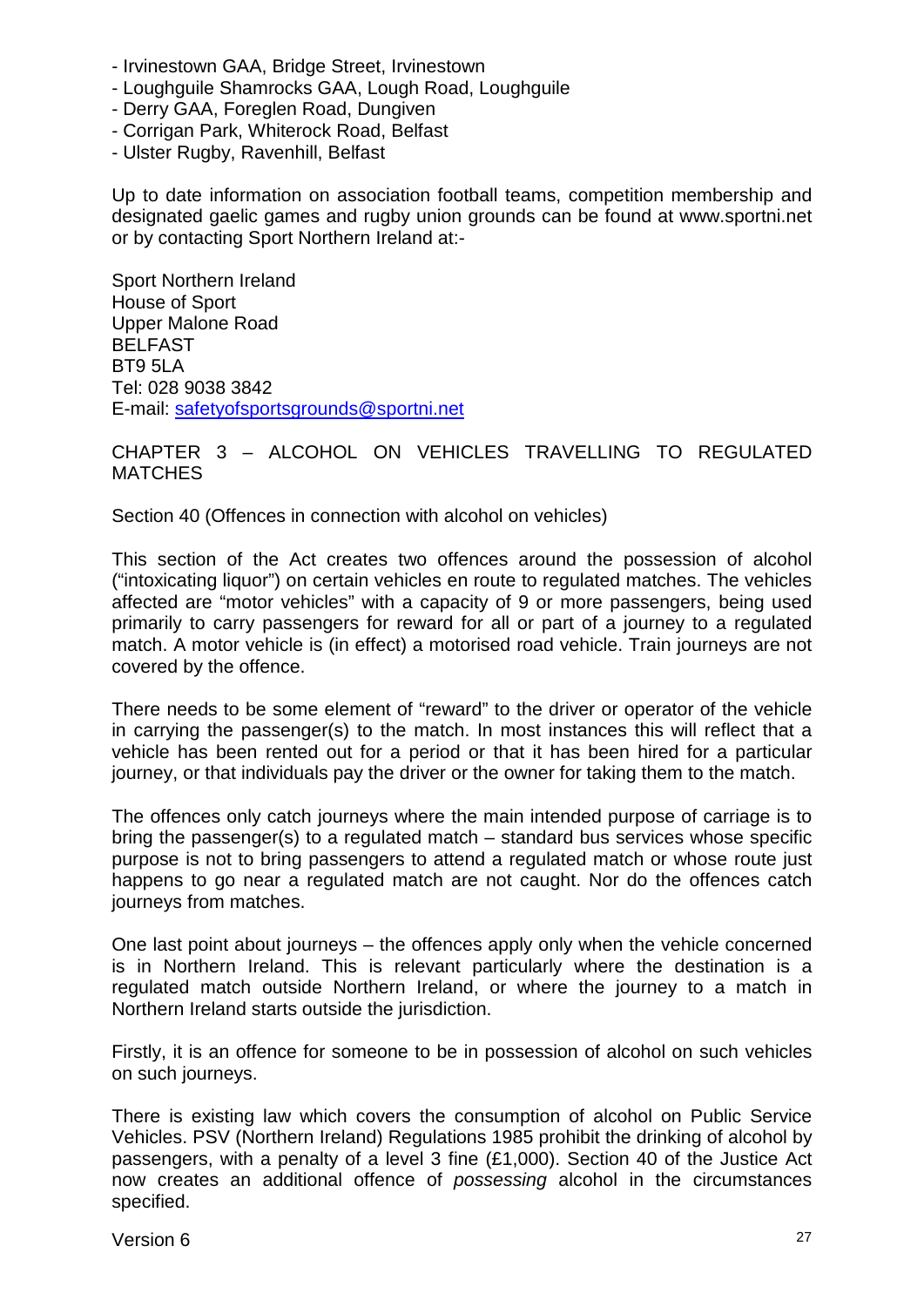- Irvinestown GAA, Bridge Street, Irvinestown
- Loughguile Shamrocks GAA, Lough Road, Loughguile
- Derry GAA, Foreglen Road, Dungiven
- Corrigan Park, Whiterock Road, Belfast
- Ulster Rugby, Ravenhill, Belfast

Up to date information on association football teams, competition membership and designated gaelic games and rugby union grounds can be found at www.sportni.net or by contacting Sport Northern Ireland at:-

Sport Northern Ireland House of Sport Upper Malone Road BELFAST BT9 5LA Tel: 028 9038 3842 E-mail: [safetyofsportsgrounds@sportni.net](mailto:safetyofsportsgrounds@sportni.net)

## CHAPTER 3 – ALCOHOL ON VEHICLES TRAVELLING TO REGULATED **MATCHES**

Section 40 (Offences in connection with alcohol on vehicles)

This section of the Act creates two offences around the possession of alcohol ("intoxicating liquor") on certain vehicles en route to regulated matches. The vehicles affected are "motor vehicles" with a capacity of 9 or more passengers, being used primarily to carry passengers for reward for all or part of a journey to a regulated match. A motor vehicle is (in effect) a motorised road vehicle. Train journeys are not covered by the offence.

There needs to be some element of "reward" to the driver or operator of the vehicle in carrying the passenger(s) to the match. In most instances this will reflect that a vehicle has been rented out for a period or that it has been hired for a particular journey, or that individuals pay the driver or the owner for taking them to the match.

The offences only catch journeys where the main intended purpose of carriage is to bring the passenger(s) to a regulated match – standard bus services whose specific purpose is not to bring passengers to attend a regulated match or whose route just happens to go near a regulated match are not caught. Nor do the offences catch journeys from matches.

One last point about journeys – the offences apply only when the vehicle concerned is in Northern Ireland. This is relevant particularly where the destination is a regulated match outside Northern Ireland, or where the journey to a match in Northern Ireland starts outside the jurisdiction.

Firstly, it is an offence for someone to be in possession of alcohol on such vehicles on such journeys.

There is existing law which covers the consumption of alcohol on Public Service Vehicles. PSV (Northern Ireland) Regulations 1985 prohibit the drinking of alcohol by passengers, with a penalty of a level 3 fine (£1,000). Section 40 of the Justice Act now creates an additional offence of *possessing* alcohol in the circumstances specified.